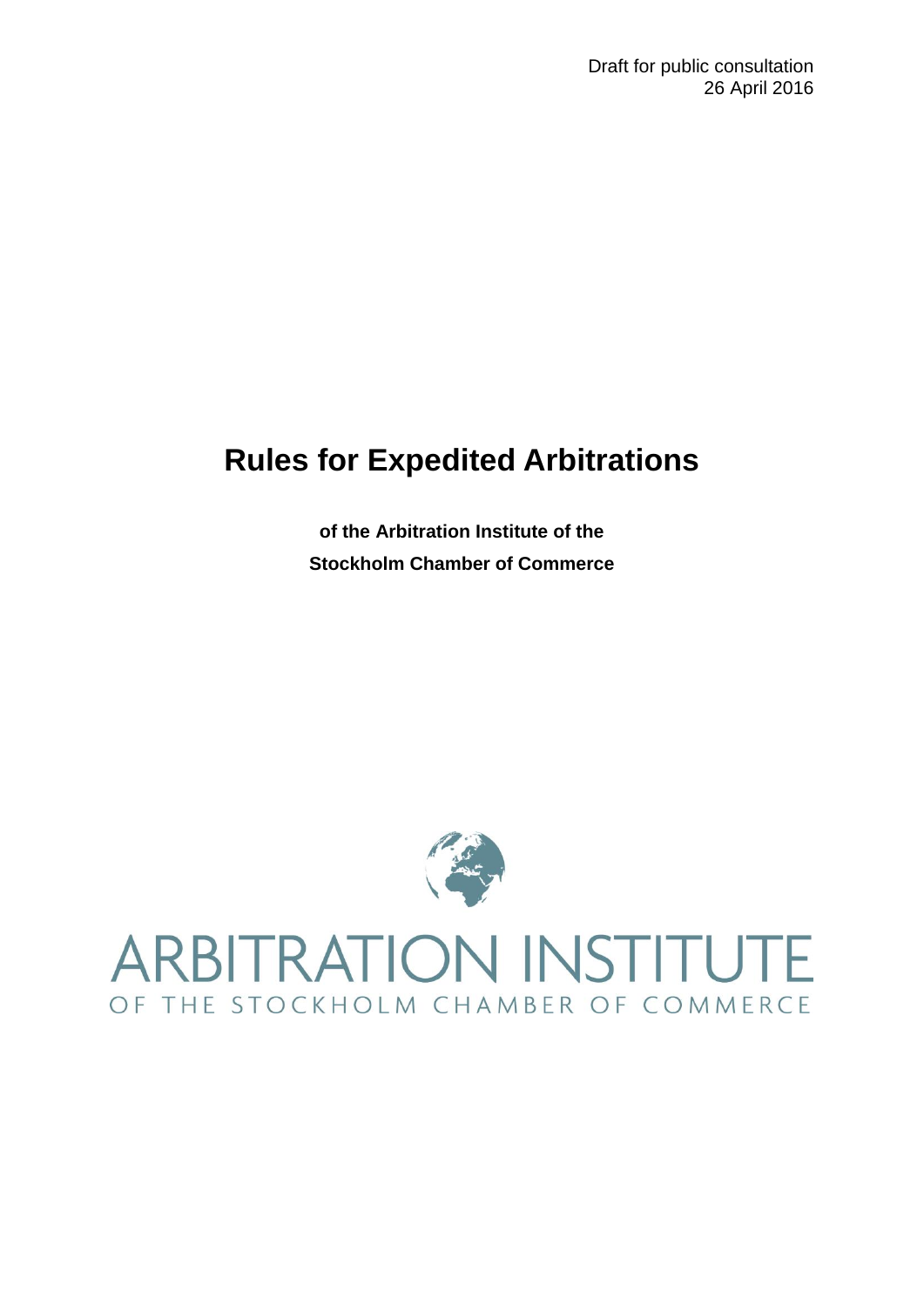# **Rules for Expedited Arbitrations**

**of the Arbitration Institute of the Stockholm Chamber of Commerce**



# **ARBITRATION INSTITUTE** OF THE STOCKHOLM CHAMBER OF COMMERCE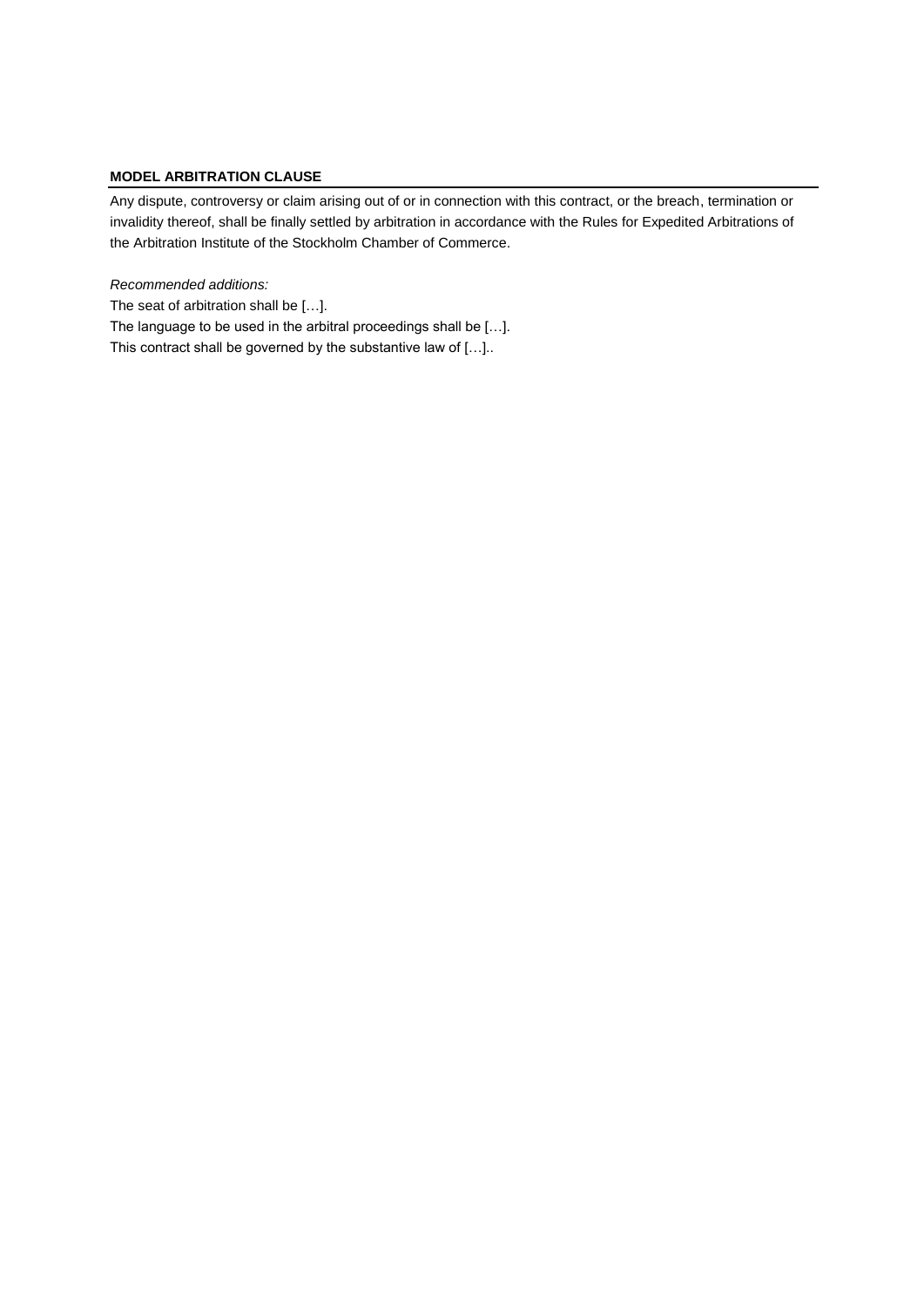# **MODEL ARBITRATION CLAUSE**

Any dispute, controversy or claim arising out of or in connection with this contract, or the breach, termination or invalidity thereof, shall be finally settled by arbitration in accordance with the Rules for Expedited Arbitrations of the Arbitration Institute of the Stockholm Chamber of Commerce.

*Recommended additions:*

The seat of arbitration shall be […].

The language to be used in the arbitral proceedings shall be […]. This contract shall be governed by the substantive law of […]..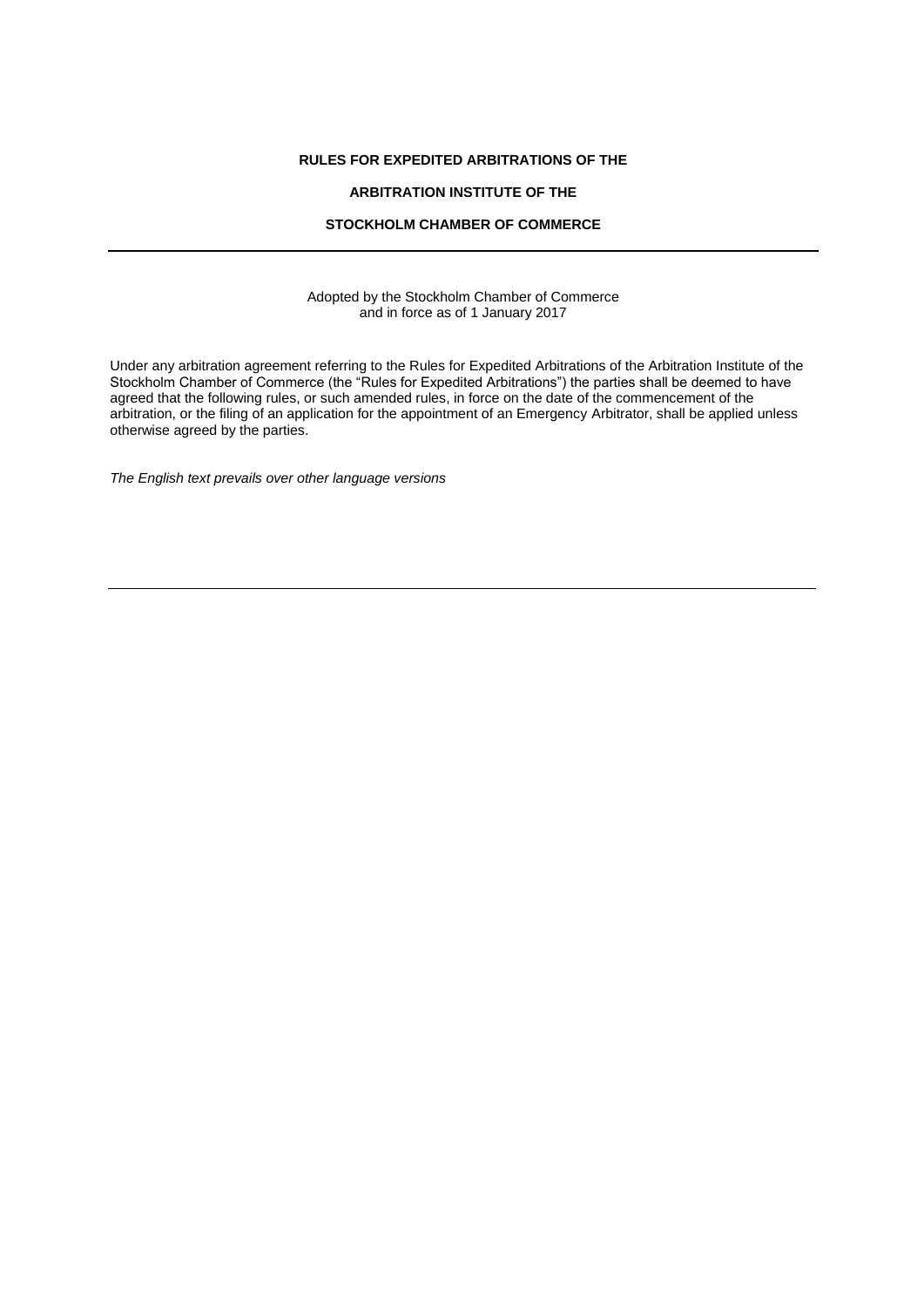# **RULES FOR EXPEDITED ARBITRATIONS OF THE**

# **ARBITRATION INSTITUTE OF THE**

# **STOCKHOLM CHAMBER OF COMMERCE**

Adopted by the Stockholm Chamber of Commerce and in force as of 1 January 2017

Under any arbitration agreement referring to the Rules for Expedited Arbitrations of the Arbitration Institute of the Stockholm Chamber of Commerce (the "Rules for Expedited Arbitrations") the parties shall be deemed to have agreed that the following rules, or such amended rules, in force on the date of the commencement of the arbitration, or the filing of an application for the appointment of an Emergency Arbitrator, shall be applied unless otherwise agreed by the parties.

*The English text prevails over other language versions*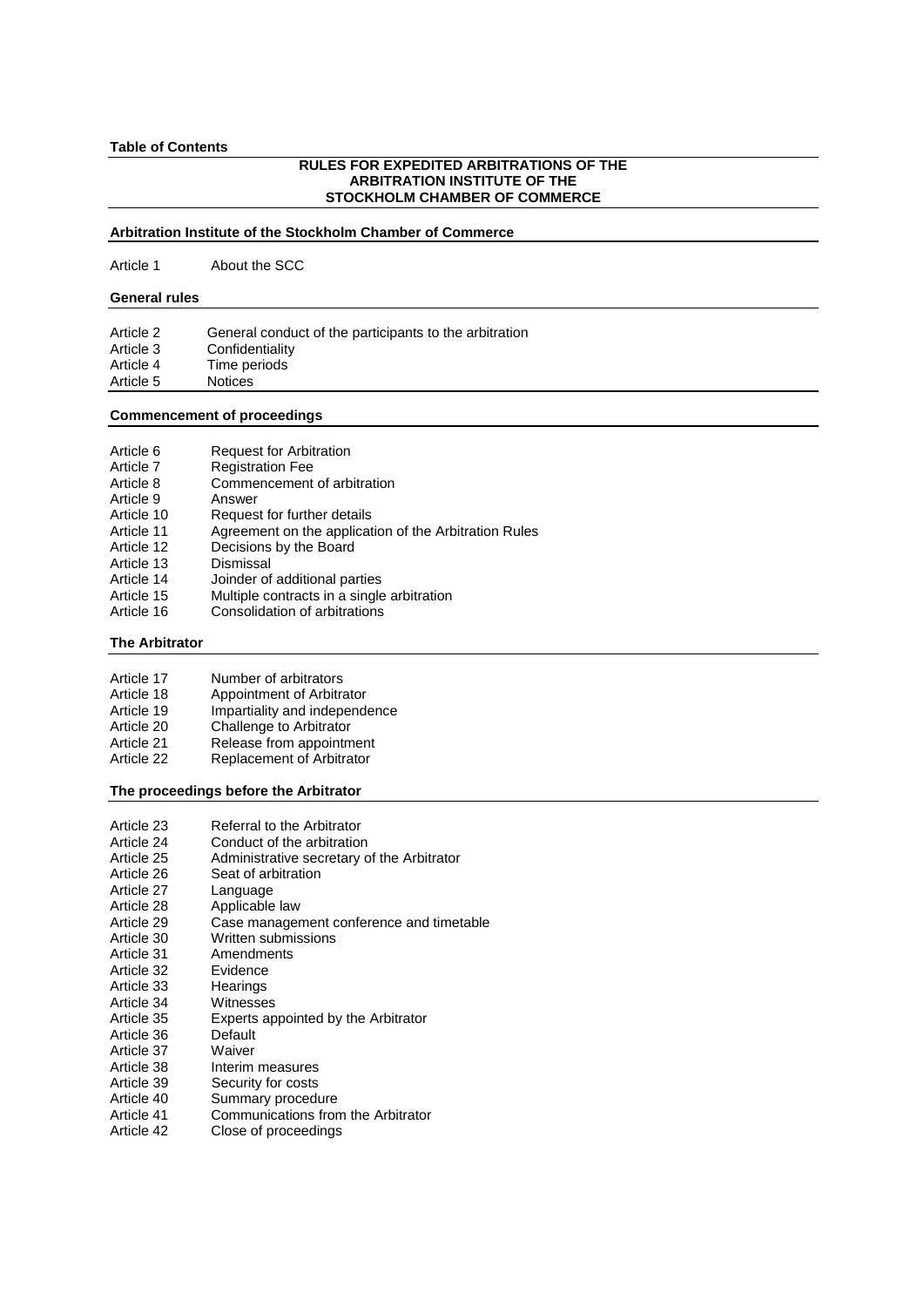# **Table of Contents**

# **RULES FOR EXPEDITED ARBITRATIONS OF THE ARBITRATION INSTITUTE OF THE STOCKHOLM CHAMBER OF COMMERCE**

# **Arbitration Institute of the Stockholm Chamber of Commerce**

Article 1 About the SCC

# **General rules**

| Article 2<br>Article 3 | General conduct of the participants to the arbitration<br>Confidentiality |
|------------------------|---------------------------------------------------------------------------|
| Article 4              | Time periods                                                              |
| Article 5              | <b>Notices</b>                                                            |
|                        |                                                                           |

# **Commencement of proceedings**

- Article 7 Registration Fee
- Article 8 Commencement of arbitration
- Article 9 Answer<br>Article 10 Reques
- Request for further details
- Article 11 Agreement on the application of the Arbitration Rules<br>Article 12 Decisions by the Board
- Article 12 Decisions by the Board<br>Article 13 Dismissal
- Dismissal
- Article 14 Joinder of additional parties
- Article 15 Multiple contracts in a single arbitration<br>Article 16 Consolidation of arbitrations
- Consolidation of arbitrations

#### **The Arbitrator**

| Article 17 | Number of arbitrators         |
|------------|-------------------------------|
| Article 18 | Appointment of Arbitrator     |
| Article 19 | Impartiality and independence |
| Article 20 | Challenge to Arbitrator       |
| Article 21 | Release from appointment      |
| Article 22 | Replacement of Arbitrator     |
|            |                               |

# **The proceedings before the Arbitrator**

| Article 23 | Referral to the Arbitrator                 |
|------------|--------------------------------------------|
| Article 24 | Conduct of the arbitration                 |
| Article 25 | Administrative secretary of the Arbitrator |
| Article 26 | Seat of arbitration                        |
| Article 27 | Language                                   |
| Article 28 | Applicable law                             |
| Article 29 | Case management conference and timetable   |
| Article 30 | Written submissions                        |
| Article 31 | Amendments                                 |
| Article 32 | Evidence                                   |
| Article 33 | Hearings                                   |
| Article 34 | Witnesses                                  |
| Article 35 | Experts appointed by the Arbitrator        |
| Article 36 | Default                                    |
| Article 37 | Waiver                                     |
| Article 38 | Interim measures                           |
| Article 39 | Security for costs                         |
| Article 40 | Summary procedure                          |
| Article 41 | Communications from the Arbitrator         |
| Article 42 | Close of proceedings                       |
|            |                                            |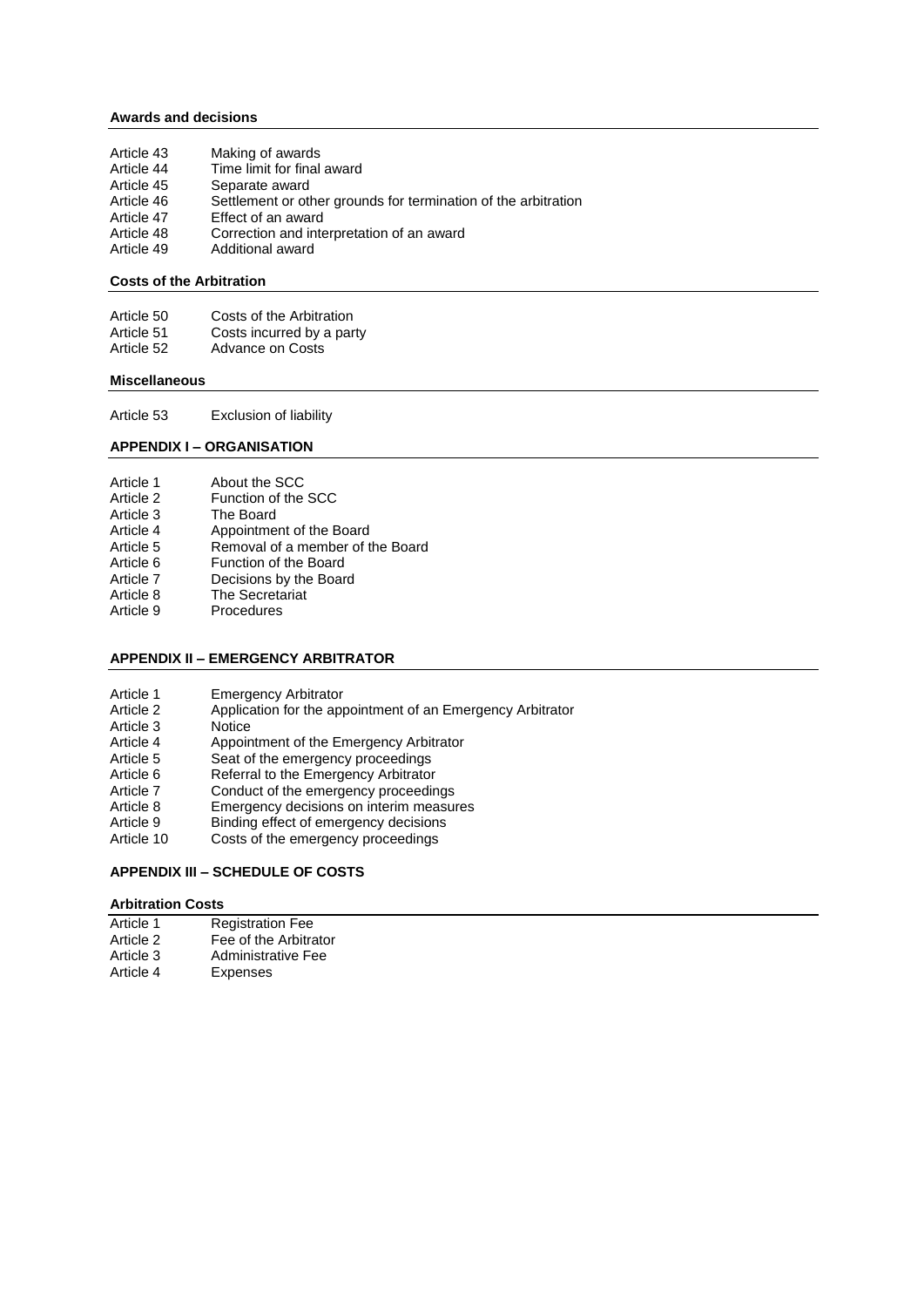# **Awards and decisions**

| Making of awards                                               |
|----------------------------------------------------------------|
| Time limit for final award                                     |
| Separate award                                                 |
| Settlement or other grounds for termination of the arbitration |
| Effect of an award                                             |
| Correction and interpretation of an award                      |
| Additional award                                               |
|                                                                |

# **Costs of the Arbitration**

| Article 50 | Costs of the Arbitration  |
|------------|---------------------------|
| Article 51 | Costs incurred by a party |
| Article 52 | Advance on Costs          |

## **Miscellaneous**

Article 53 Exclusion of liability

#### **APPENDIX I – ORGANISATION**

| Article 1 | About the SCC                    |
|-----------|----------------------------------|
| Article 2 | Function of the SCC              |
| Article 3 | The Board                        |
| Article 4 | Appointment of the Board         |
| Article 5 | Removal of a member of the Board |
| Article 6 | <b>Function of the Board</b>     |
| Article 7 | Decisions by the Board           |
| Article 8 | The Secretariat                  |
| Article 9 | Procedures                       |

# **APPENDIX II – EMERGENCY ARBITRATOR**

| Article 1 | <b>Emergency Arbitrator</b> |
|-----------|-----------------------------|
|-----------|-----------------------------|

- Article 2 Application for the appointment of an Emergency Arbitrator<br>Article 3 Notice
- Article 3<br>Article 4
- Article 4 Appointment of the Emergency Arbitrator<br>Article 5 Seat of the emergency proceedings
- Article 5 Seat of the emergency proceedings<br>Article 6 Referral to the Emergency Arbitrator
- Article 6 Referral to the Emergency Arbitrator<br>Article 7 Conduct of the emergency proceedin
- 
- Article 7 Conduct of the emergency proceedings<br>Article 8 Emergency decisions on interim measure Article 8 Emergency decisions on interim measures<br>Article 9 Binding effect of emergency decisions
- 
- Article 9 Binding effect of emergency decisions<br>Article 10 Costs of the emergency proceedings Costs of the emergency proceedings

# **APPENDIX III – SCHEDULE OF COSTS**

# **Arbitration Costs**

| Article 1 | <b>Registration Fee</b> |
|-----------|-------------------------|
| Article 2 | Fee of the Arbitrator   |
| Article 3 | Administrative Fee      |
| Article 4 | Expenses                |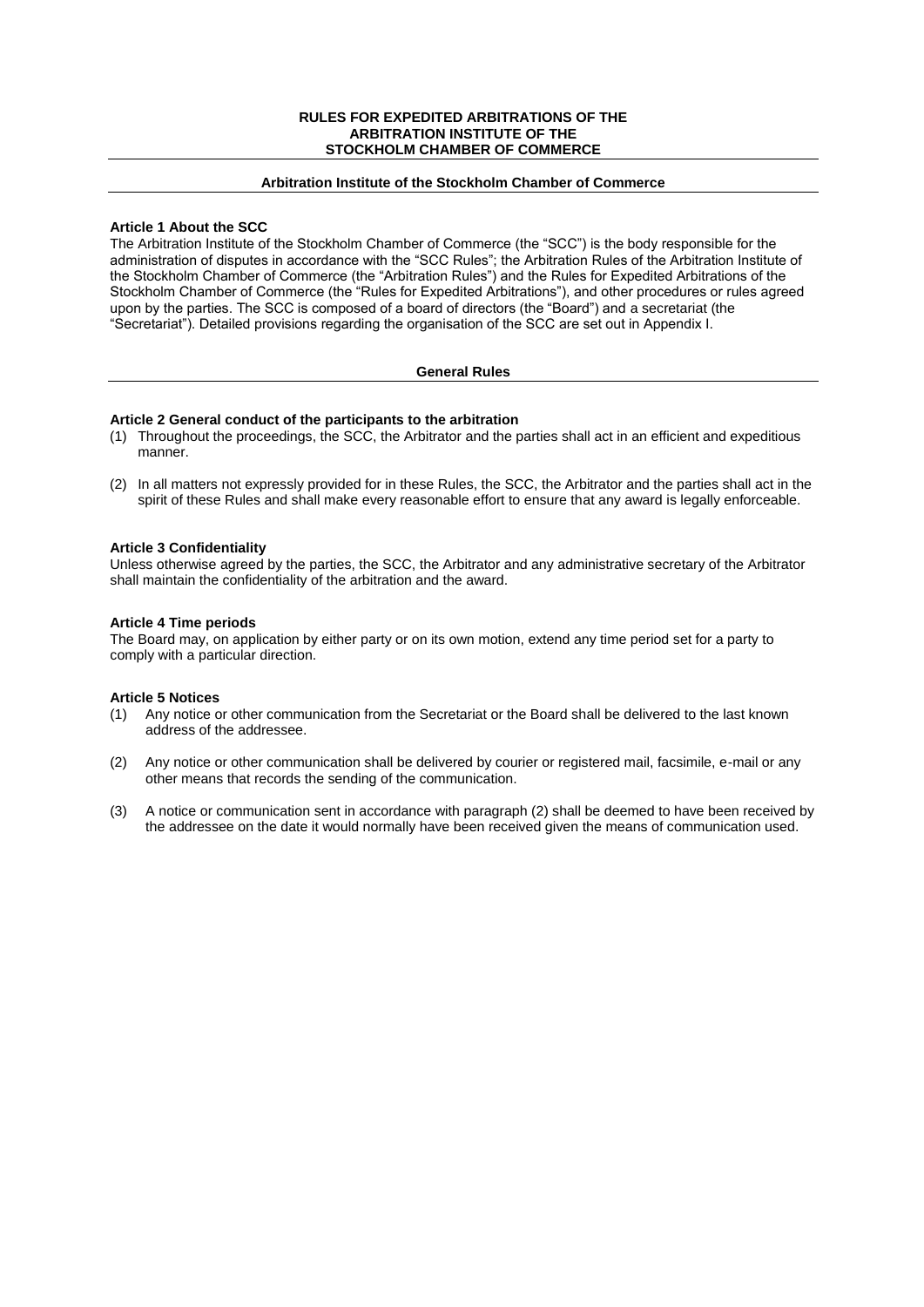# **RULES FOR EXPEDITED ARBITRATIONS OF THE ARBITRATION INSTITUTE OF THE STOCKHOLM CHAMBER OF COMMERCE**

# **Arbitration Institute of the Stockholm Chamber of Commerce**

# **Article 1 About the SCC**

The Arbitration Institute of the Stockholm Chamber of Commerce (the "SCC") is the body responsible for the administration of disputes in accordance with the "SCC Rules"; the Arbitration Rules of the Arbitration Institute of the Stockholm Chamber of Commerce (the "Arbitration Rules") and the Rules for Expedited Arbitrations of the Stockholm Chamber of Commerce (the "Rules for Expedited Arbitrations"), and other procedures or rules agreed upon by the parties. The SCC is composed of a board of directors (the "Board") and a secretariat (the "Secretariat"). Detailed provisions regarding the organisation of the SCC are set out in Appendix I.

# **General Rules**

# **Article 2 General conduct of the participants to the arbitration**

- (1) Throughout the proceedings, the SCC, the Arbitrator and the parties shall act in an efficient and expeditious manner.
- (2) In all matters not expressly provided for in these Rules, the SCC, the Arbitrator and the parties shall act in the spirit of these Rules and shall make every reasonable effort to ensure that any award is legally enforceable.

# **Article 3 Confidentiality**

Unless otherwise agreed by the parties, the SCC, the Arbitrator and any administrative secretary of the Arbitrator shall maintain the confidentiality of the arbitration and the award.

### **Article 4 Time periods**

The Board may, on application by either party or on its own motion, extend any time period set for a party to comply with a particular direction.

# **Article 5 Notices**

- (1) Any notice or other communication from the Secretariat or the Board shall be delivered to the last known address of the addressee.
- (2) Any notice or other communication shall be delivered by courier or registered mail, facsimile, e-mail or any other means that records the sending of the communication.
- (3) A notice or communication sent in accordance with paragraph (2) shall be deemed to have been received by the addressee on the date it would normally have been received given the means of communication used.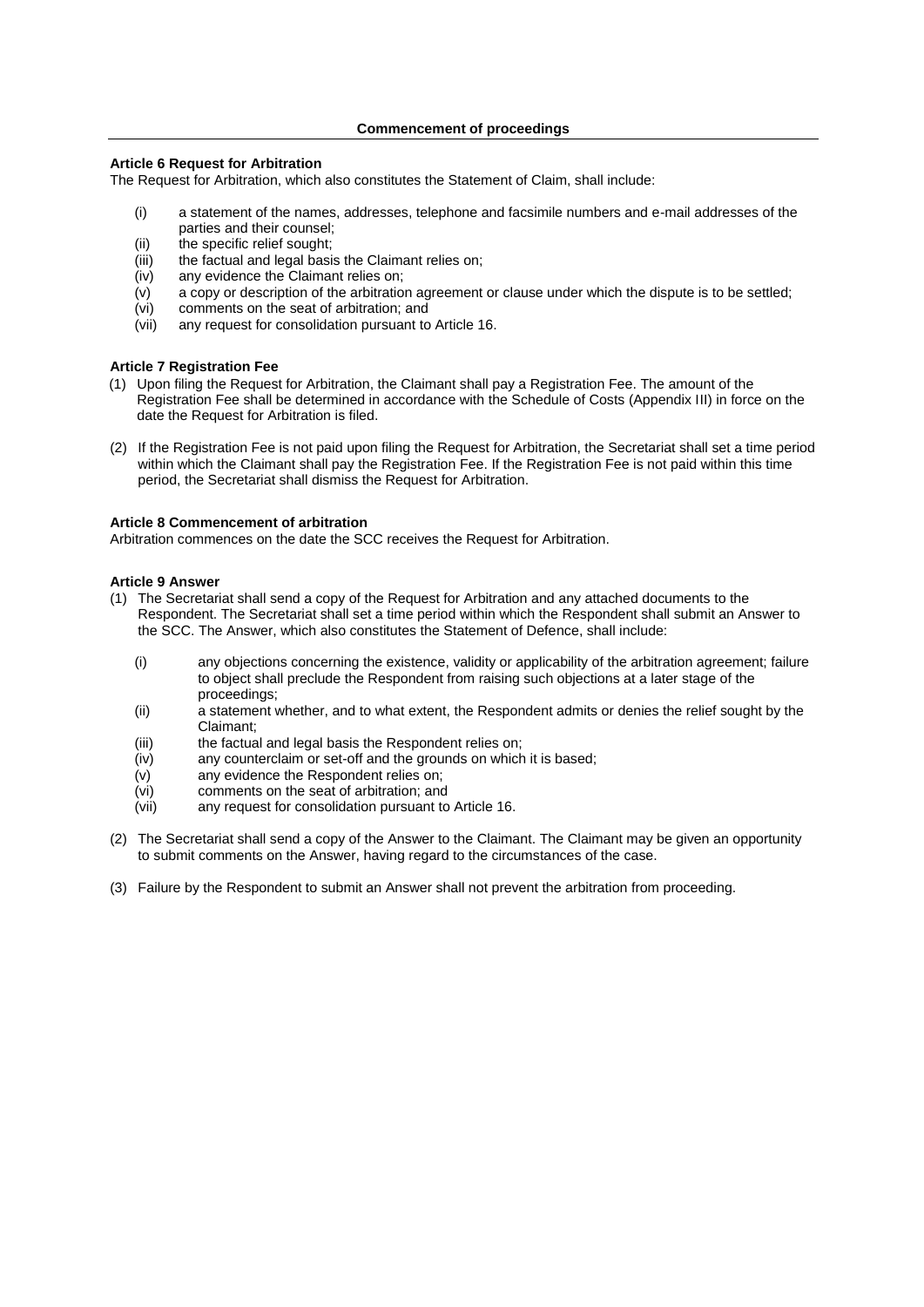# **Commencement of proceedings**

# **Article 6 Request for Arbitration**

The Request for Arbitration, which also constitutes the Statement of Claim, shall include:

- (i) a statement of the names, addresses, telephone and facsimile numbers and e-mail addresses of the parties and their counsel;
- (ii) the specific relief sought;
- (iii) the factual and legal basis the Claimant relies on;
- $(iv)$  any evidence the Claimant relies on;<br> $(v)$  a copy or description of the arbitration
- a copy or description of the arbitration agreement or clause under which the dispute is to be settled;
- (vi) comments on the seat of arbitration; and
- (vii) any request for consolidation pursuant to Article 16.

# **Article 7 Registration Fee**

- (1) Upon filing the Request for Arbitration, the Claimant shall pay a Registration Fee. The amount of the Registration Fee shall be determined in accordance with the Schedule of Costs (Appendix III) in force on the date the Request for Arbitration is filed.
- (2) If the Registration Fee is not paid upon filing the Request for Arbitration, the Secretariat shall set a time period within which the Claimant shall pay the Registration Fee. If the Registration Fee is not paid within this time period, the Secretariat shall dismiss the Request for Arbitration.

# **Article 8 Commencement of arbitration**

Arbitration commences on the date the SCC receives the Request for Arbitration.

# **Article 9 Answer**

- (1) The Secretariat shall send a copy of the Request for Arbitration and any attached documents to the Respondent. The Secretariat shall set a time period within which the Respondent shall submit an Answer to the SCC. The Answer, which also constitutes the Statement of Defence, shall include:
	- (i) any objections concerning the existence, validity or applicability of the arbitration agreement; failure to object shall preclude the Respondent from raising such objections at a later stage of the proceedings;
	- (ii) a statement whether, and to what extent, the Respondent admits or denies the relief sought by the Claimant;
	- (iii) the factual and legal basis the Respondent relies on;
	- (iv) any counterclaim or set-off and the grounds on which it is based;
	- (v) any evidence the Respondent relies on;
	- (vi) comments on the seat of arbitration; and<br>(vii) any request for consolidation pursuant to
	- any request for consolidation pursuant to Article 16.
- (2) The Secretariat shall send a copy of the Answer to the Claimant. The Claimant may be given an opportunity to submit comments on the Answer, having regard to the circumstances of the case.
- (3) Failure by the Respondent to submit an Answer shall not prevent the arbitration from proceeding.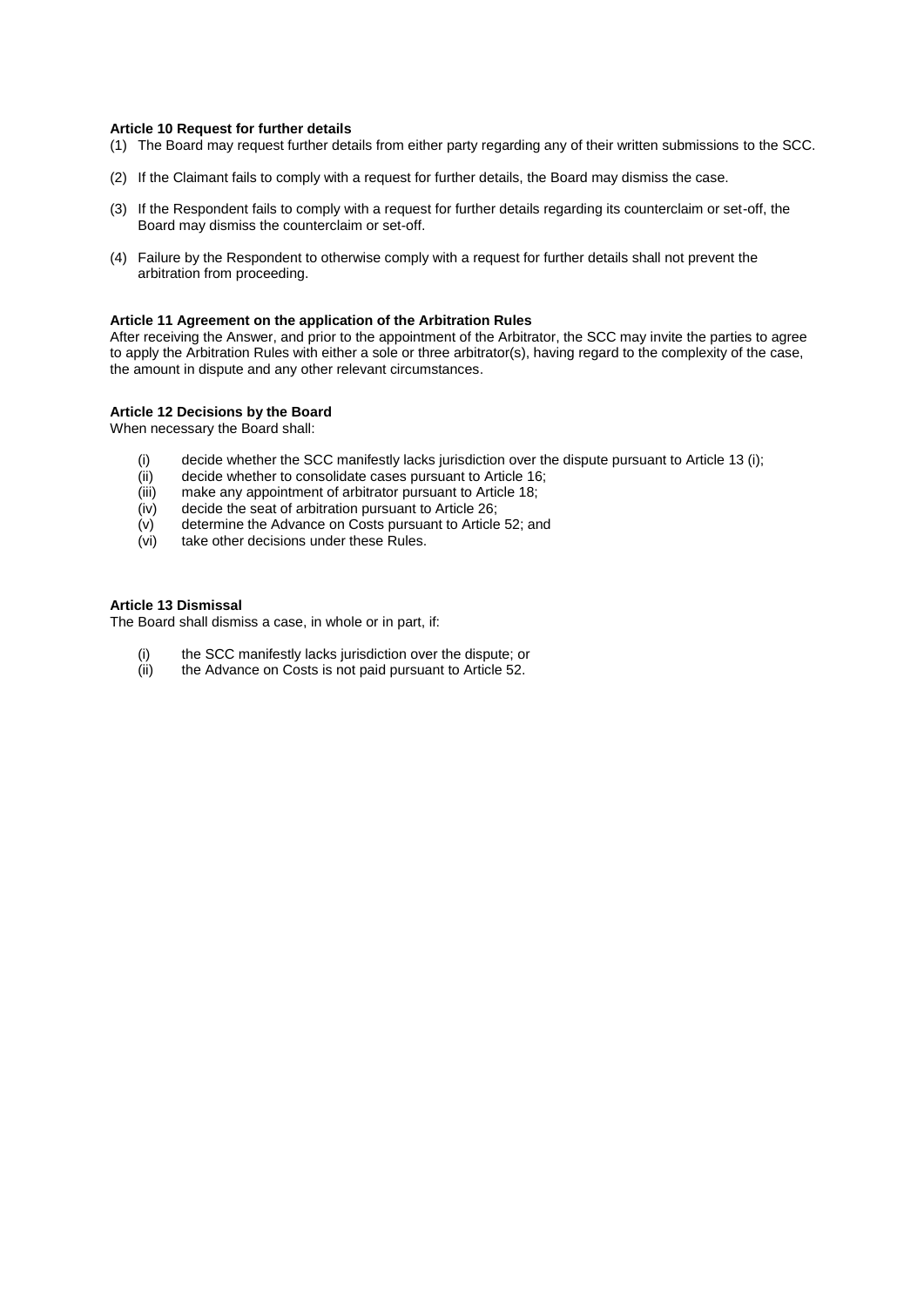### **Article 10 Request for further details**

- (1) The Board may request further details from either party regarding any of their written submissions to the SCC.
- (2) If the Claimant fails to comply with a request for further details, the Board may dismiss the case.
- (3) If the Respondent fails to comply with a request for further details regarding its counterclaim or set-off, the Board may dismiss the counterclaim or set-off.
- (4) Failure by the Respondent to otherwise comply with a request for further details shall not prevent the arbitration from proceeding.

# **Article 11 Agreement on the application of the Arbitration Rules**

After receiving the Answer, and prior to the appointment of the Arbitrator, the SCC may invite the parties to agree to apply the Arbitration Rules with either a sole or three arbitrator(s), having regard to the complexity of the case, the amount in dispute and any other relevant circumstances.

# **Article 12 Decisions by the Board**

When necessary the Board shall:

- (i) decide whether the SCC manifestly lacks jurisdiction over the dispute pursuant to Article 13 (i);
- (ii) decide whether to consolidate cases pursuant to Article 16;
- (iii) make any appointment of arbitrator pursuant to Article 18;
- (iv) decide the seat of arbitration pursuant to Article 26;
- $(v)$  determine the Advance on Costs pursuant to Article 52; and  $(vi)$  take other decisions under these Rules.
- take other decisions under these Rules.

# **Article 13 Dismissal**

The Board shall dismiss a case, in whole or in part, if:

- (i) the SCC manifestly lacks jurisdiction over the dispute; or<br>(ii) the Advance on Costs is not paid pursuant to Article 52.
- the Advance on Costs is not paid pursuant to Article 52.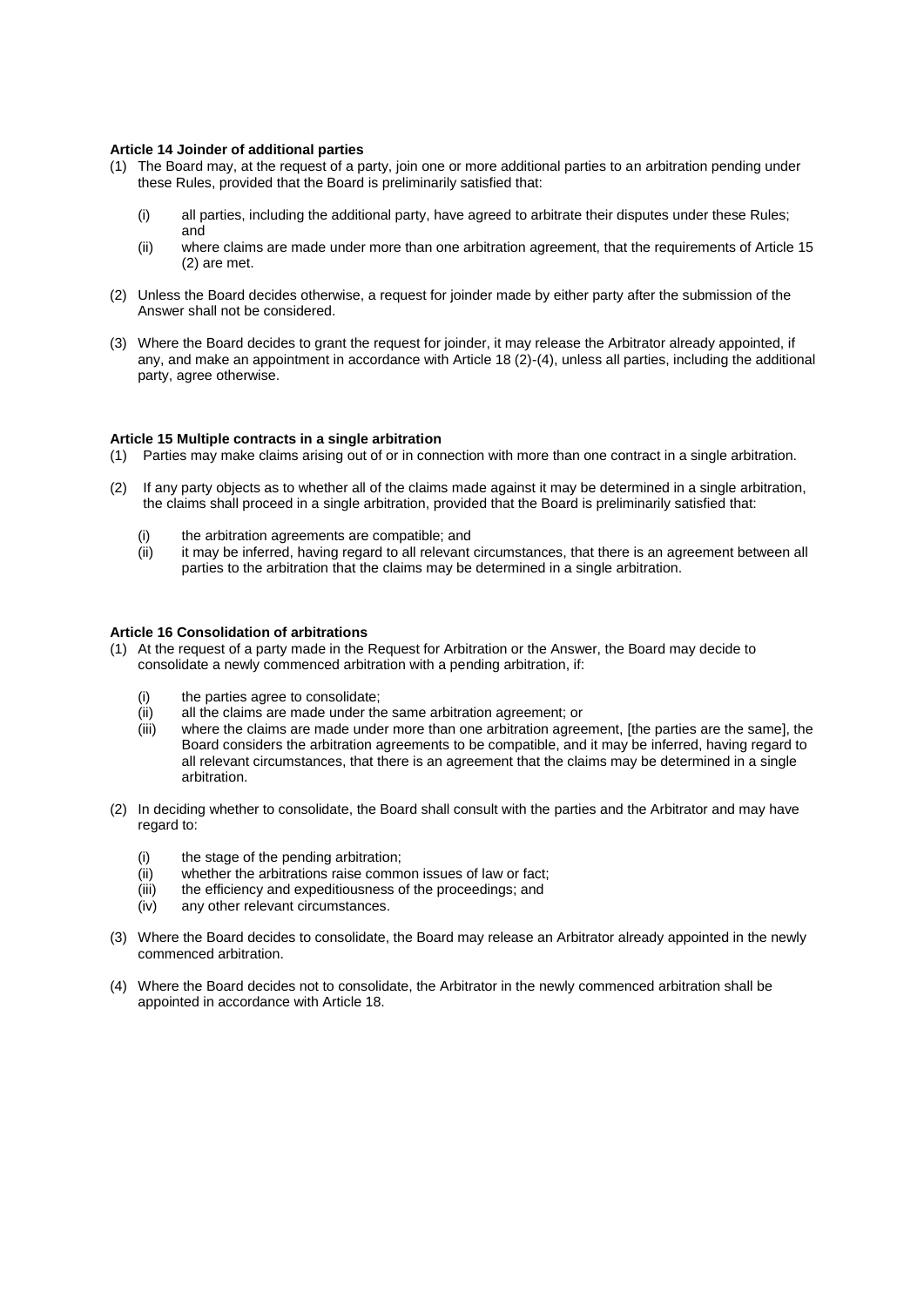#### **Article 14 Joinder of additional parties**

- (1) The Board may, at the request of a party, join one or more additional parties to an arbitration pending under these Rules, provided that the Board is preliminarily satisfied that:
	- (i) all parties, including the additional party, have agreed to arbitrate their disputes under these Rules; and
	- (ii) where claims are made under more than one arbitration agreement, that the requirements of Article 15 (2) are met.
- (2) Unless the Board decides otherwise, a request for joinder made by either party after the submission of the Answer shall not be considered.
- (3) Where the Board decides to grant the request for joinder, it may release the Arbitrator already appointed, if any, and make an appointment in accordance with Article 18 (2)-(4), unless all parties, including the additional party, agree otherwise.

# **Article 15 Multiple contracts in a single arbitration**

- (1) Parties may make claims arising out of or in connection with more than one contract in a single arbitration.
- (2) If any party objects as to whether all of the claims made against it may be determined in a single arbitration, the claims shall proceed in a single arbitration, provided that the Board is preliminarily satisfied that:
	- (i) the arbitration agreements are compatible; and
	- (ii) it may be inferred, having regard to all relevant circumstances, that there is an agreement between all parties to the arbitration that the claims may be determined in a single arbitration.

#### **Article 16 Consolidation of arbitrations**

- (1) At the request of a party made in the Request for Arbitration or the Answer, the Board may decide to consolidate a newly commenced arbitration with a pending arbitration, if:
	- (i) the parties agree to consolidate;
	- (ii) all the claims are made under the same arbitration agreement; or
	- (iii) where the claims are made under more than one arbitration agreement, [the parties are the same], the Board considers the arbitration agreements to be compatible, and it may be inferred, having regard to all relevant circumstances, that there is an agreement that the claims may be determined in a single arbitration.
- (2) In deciding whether to consolidate, the Board shall consult with the parties and the Arbitrator and may have regard to:
	- (i) the stage of the pending arbitration;
	- (ii) whether the arbitrations raise common issues of law or fact;
	- (iii) the efficiency and expeditiousness of the proceedings; and
	- (iv) any other relevant circumstances.
- (3) Where the Board decides to consolidate, the Board may release an Arbitrator already appointed in the newly commenced arbitration.
- (4) Where the Board decides not to consolidate, the Arbitrator in the newly commenced arbitration shall be appointed in accordance with Article 18.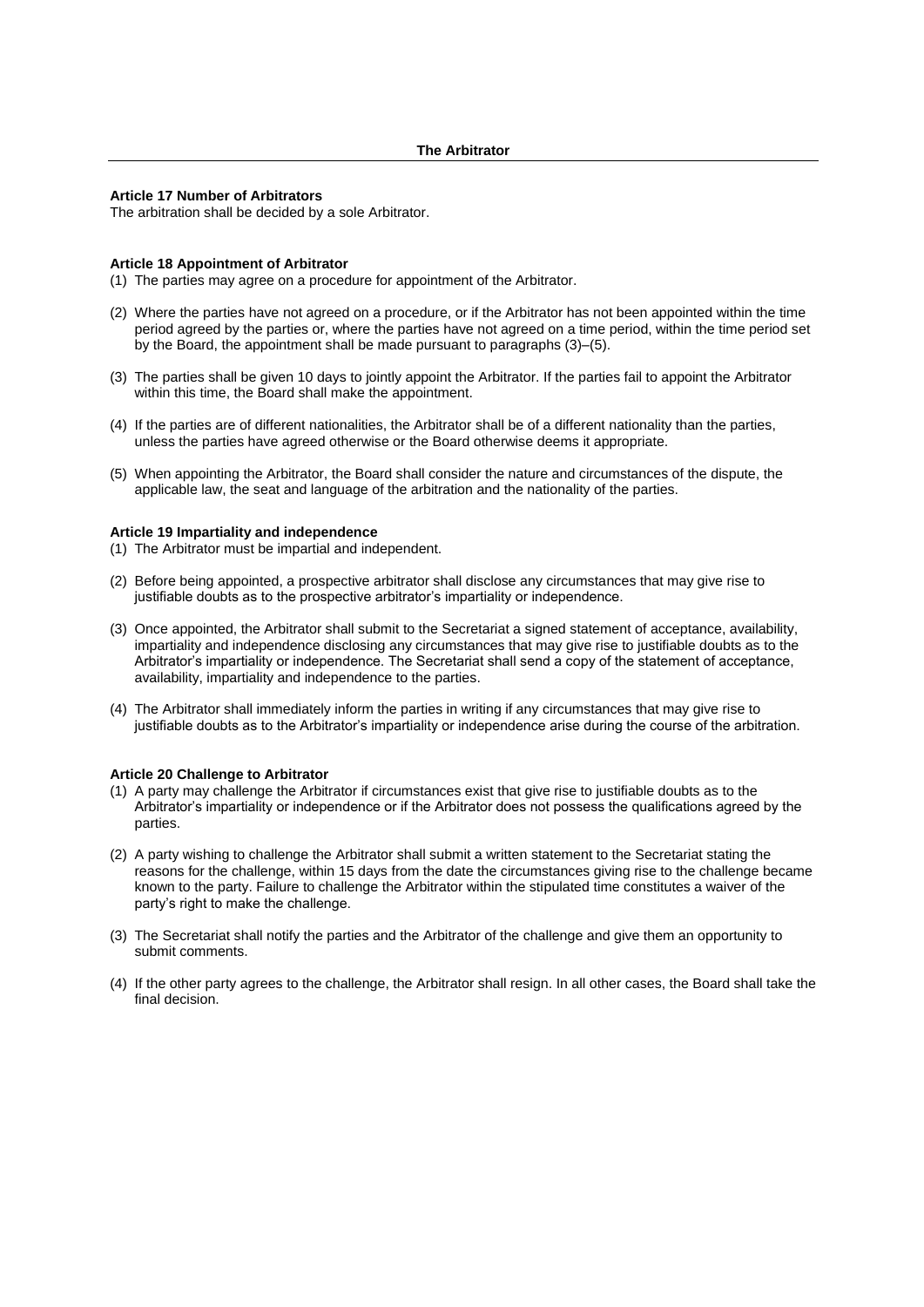### **Article 17 Number of Arbitrators**

The arbitration shall be decided by a sole Arbitrator.

## **Article 18 Appointment of Arbitrator**

- (1) The parties may agree on a procedure for appointment of the Arbitrator.
- (2) Where the parties have not agreed on a procedure, or if the Arbitrator has not been appointed within the time period agreed by the parties or, where the parties have not agreed on a time period, within the time period set by the Board, the appointment shall be made pursuant to paragraphs (3)–(5).
- (3) The parties shall be given 10 days to jointly appoint the Arbitrator. If the parties fail to appoint the Arbitrator within this time, the Board shall make the appointment.
- (4) If the parties are of different nationalities, the Arbitrator shall be of a different nationality than the parties, unless the parties have agreed otherwise or the Board otherwise deems it appropriate.
- (5) When appointing the Arbitrator, the Board shall consider the nature and circumstances of the dispute, the applicable law, the seat and language of the arbitration and the nationality of the parties.

# **Article 19 Impartiality and independence**

- (1) The Arbitrator must be impartial and independent.
- (2) Before being appointed, a prospective arbitrator shall disclose any circumstances that may give rise to justifiable doubts as to the prospective arbitrator's impartiality or independence.
- (3) Once appointed, the Arbitrator shall submit to the Secretariat a signed statement of acceptance, availability, impartiality and independence disclosing any circumstances that may give rise to justifiable doubts as to the Arbitrator's impartiality or independence. The Secretariat shall send a copy of the statement of acceptance, availability, impartiality and independence to the parties.
- (4) The Arbitrator shall immediately inform the parties in writing if any circumstances that may give rise to justifiable doubts as to the Arbitrator's impartiality or independence arise during the course of the arbitration.

# **Article 20 Challenge to Arbitrator**

- (1) A party may challenge the Arbitrator if circumstances exist that give rise to justifiable doubts as to the Arbitrator's impartiality or independence or if the Arbitrator does not possess the qualifications agreed by the parties.
- (2) A party wishing to challenge the Arbitrator shall submit a written statement to the Secretariat stating the reasons for the challenge, within 15 days from the date the circumstances giving rise to the challenge became known to the party. Failure to challenge the Arbitrator within the stipulated time constitutes a waiver of the party's right to make the challenge.
- (3) The Secretariat shall notify the parties and the Arbitrator of the challenge and give them an opportunity to submit comments.
- (4) If the other party agrees to the challenge, the Arbitrator shall resign. In all other cases, the Board shall take the final decision.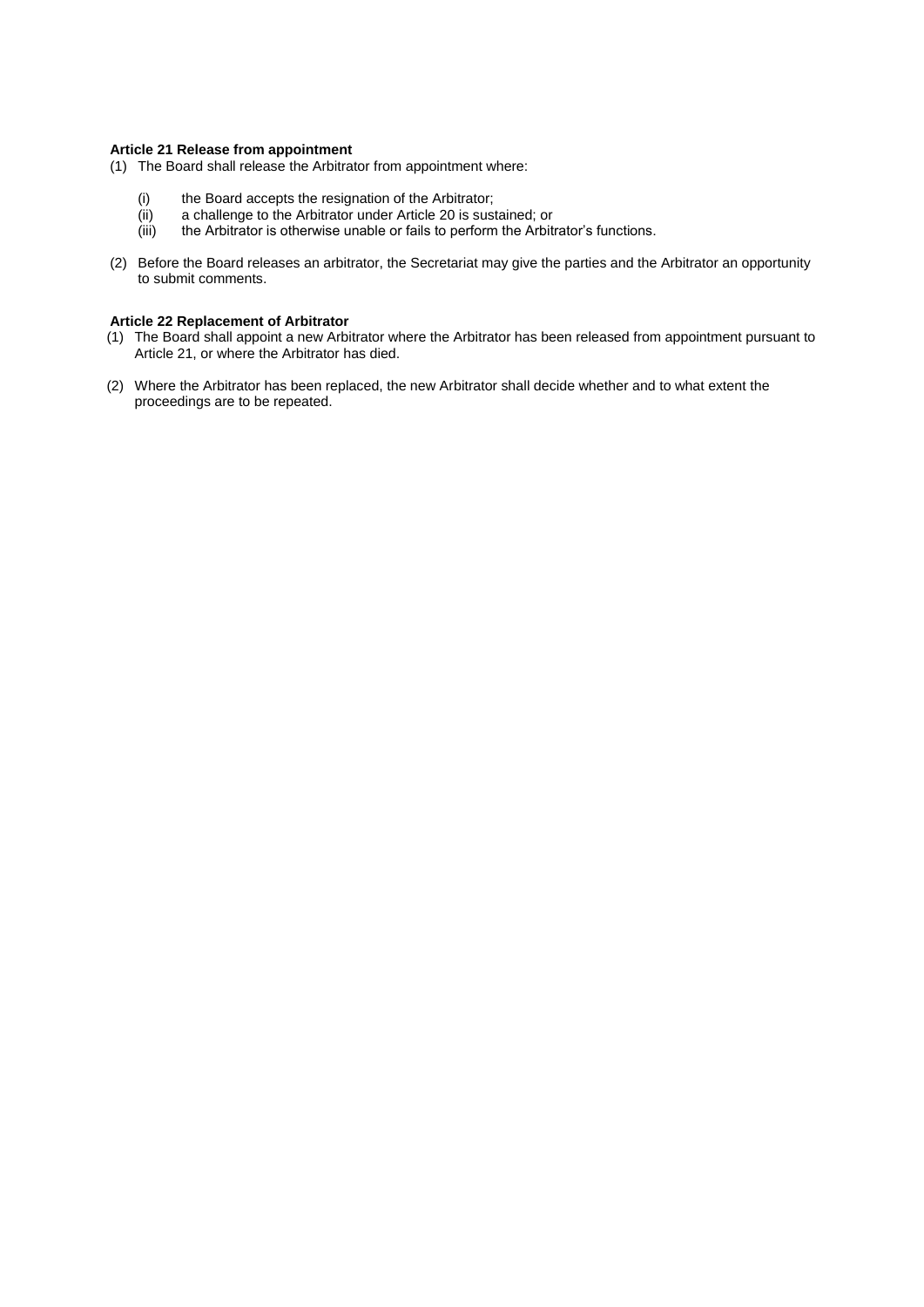# **Article 21 Release from appointment**

- (1) The Board shall release the Arbitrator from appointment where:
	- (i) the Board accepts the resignation of the Arbitrator;<br>(ii) a challenge to the Arbitrator under Article 20 is sust
	- $\overline{v}$  (ii) a challenge to the Arbitrator under Article 20 is sustained; or (iii) the Arbitrator is otherwise unable or fails to perform the Arbit
	- the Arbitrator is otherwise unable or fails to perform the Arbitrator's functions.
- (2) Before the Board releases an arbitrator, the Secretariat may give the parties and the Arbitrator an opportunity to submit comments.

# **Article 22 Replacement of Arbitrator**

- (1) The Board shall appoint a new Arbitrator where the Arbitrator has been released from appointment pursuant to Article 21, or where the Arbitrator has died.
- (2) Where the Arbitrator has been replaced, the new Arbitrator shall decide whether and to what extent the proceedings are to be repeated.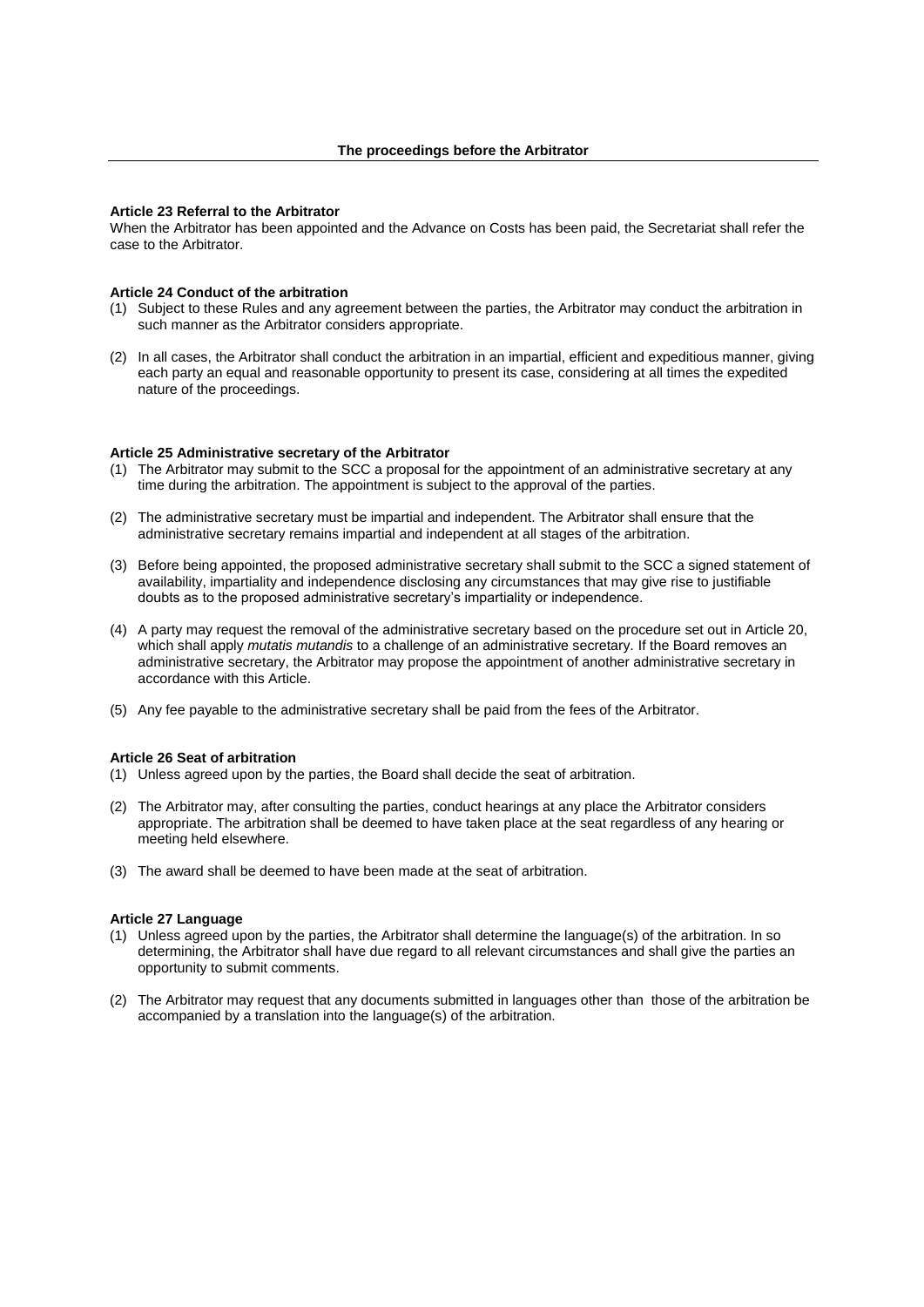#### **Article 23 Referral to the Arbitrator**

When the Arbitrator has been appointed and the Advance on Costs has been paid, the Secretariat shall refer the case to the Arbitrator.

#### **Article 24 Conduct of the arbitration**

- (1) Subject to these Rules and any agreement between the parties, the Arbitrator may conduct the arbitration in such manner as the Arbitrator considers appropriate.
- (2) In all cases, the Arbitrator shall conduct the arbitration in an impartial, efficient and expeditious manner, giving each party an equal and reasonable opportunity to present its case, considering at all times the expedited nature of the proceedings.

#### **Article 25 Administrative secretary of the Arbitrator**

- (1) The Arbitrator may submit to the SCC a proposal for the appointment of an administrative secretary at any time during the arbitration. The appointment is subject to the approval of the parties.
- (2) The administrative secretary must be impartial and independent. The Arbitrator shall ensure that the administrative secretary remains impartial and independent at all stages of the arbitration.
- (3) Before being appointed, the proposed administrative secretary shall submit to the SCC a signed statement of availability, impartiality and independence disclosing any circumstances that may give rise to justifiable doubts as to the proposed administrative secretary's impartiality or independence.
- (4) A party may request the removal of the administrative secretary based on the procedure set out in Article 20, which shall apply *mutatis mutandis* to a challenge of an administrative secretary. If the Board removes an administrative secretary, the Arbitrator may propose the appointment of another administrative secretary in accordance with this Article.
- (5) Any fee payable to the administrative secretary shall be paid from the fees of the Arbitrator.

#### **Article 26 Seat of arbitration**

- (1) Unless agreed upon by the parties, the Board shall decide the seat of arbitration.
- (2) The Arbitrator may, after consulting the parties, conduct hearings at any place the Arbitrator considers appropriate. The arbitration shall be deemed to have taken place at the seat regardless of any hearing or meeting held elsewhere.
- (3) The award shall be deemed to have been made at the seat of arbitration.

#### **Article 27 Language**

- (1) Unless agreed upon by the parties, the Arbitrator shall determine the language(s) of the arbitration. In so determining, the Arbitrator shall have due regard to all relevant circumstances and shall give the parties an opportunity to submit comments.
- (2) The Arbitrator may request that any documents submitted in languages other than those of the arbitration be accompanied by a translation into the language(s) of the arbitration.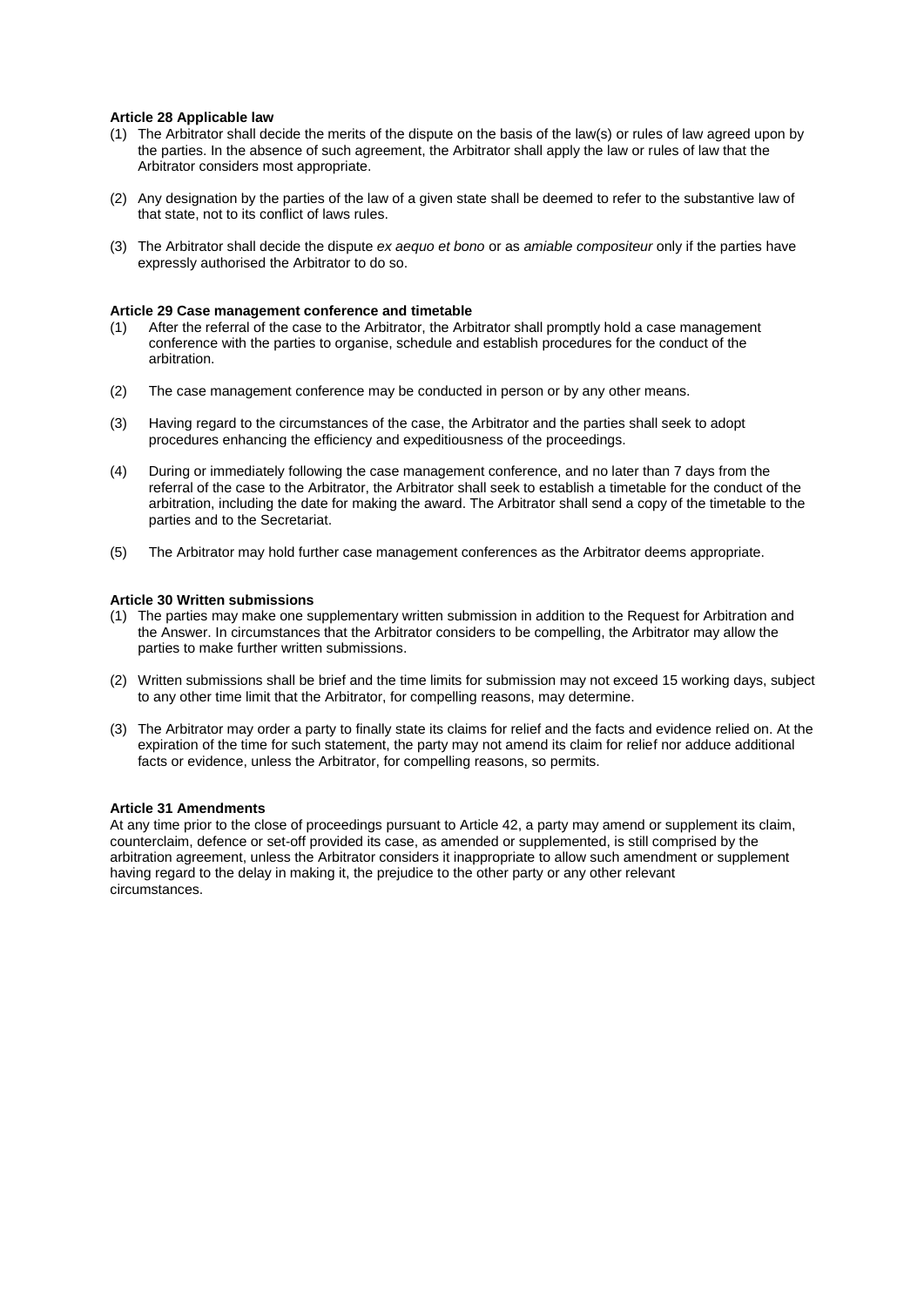# **Article 28 Applicable law**

- (1) The Arbitrator shall decide the merits of the dispute on the basis of the law(s) or rules of law agreed upon by the parties. In the absence of such agreement, the Arbitrator shall apply the law or rules of law that the Arbitrator considers most appropriate.
- (2) Any designation by the parties of the law of a given state shall be deemed to refer to the substantive law of that state, not to its conflict of laws rules.
- (3) The Arbitrator shall decide the dispute *ex aequo et bono* or as *amiable compositeur* only if the parties have expressly authorised the Arbitrator to do so.

# **Article 29 Case management conference and timetable**

- (1) After the referral of the case to the Arbitrator, the Arbitrator shall promptly hold a case management conference with the parties to organise, schedule and establish procedures for the conduct of the arbitration.
- (2) The case management conference may be conducted in person or by any other means.
- (3) Having regard to the circumstances of the case, the Arbitrator and the parties shall seek to adopt procedures enhancing the efficiency and expeditiousness of the proceedings.
- (4) During or immediately following the case management conference, and no later than 7 days from the referral of the case to the Arbitrator, the Arbitrator shall seek to establish a timetable for the conduct of the arbitration, including the date for making the award. The Arbitrator shall send a copy of the timetable to the parties and to the Secretariat.
- (5) The Arbitrator may hold further case management conferences as the Arbitrator deems appropriate.

### **Article 30 Written submissions**

- (1) The parties may make one supplementary written submission in addition to the Request for Arbitration and the Answer. In circumstances that the Arbitrator considers to be compelling, the Arbitrator may allow the parties to make further written submissions.
- (2) Written submissions shall be brief and the time limits for submission may not exceed 15 working days, subject to any other time limit that the Arbitrator, for compelling reasons, may determine.
- (3) The Arbitrator may order a party to finally state its claims for relief and the facts and evidence relied on. At the expiration of the time for such statement, the party may not amend its claim for relief nor adduce additional facts or evidence, unless the Arbitrator, for compelling reasons, so permits.

#### **Article 31 Amendments**

At any time prior to the close of proceedings pursuant to Article 42, a party may amend or supplement its claim, counterclaim, defence or set-off provided its case, as amended or supplemented, is still comprised by the arbitration agreement, unless the Arbitrator considers it inappropriate to allow such amendment or supplement having regard to the delay in making it, the prejudice to the other party or any other relevant circumstances.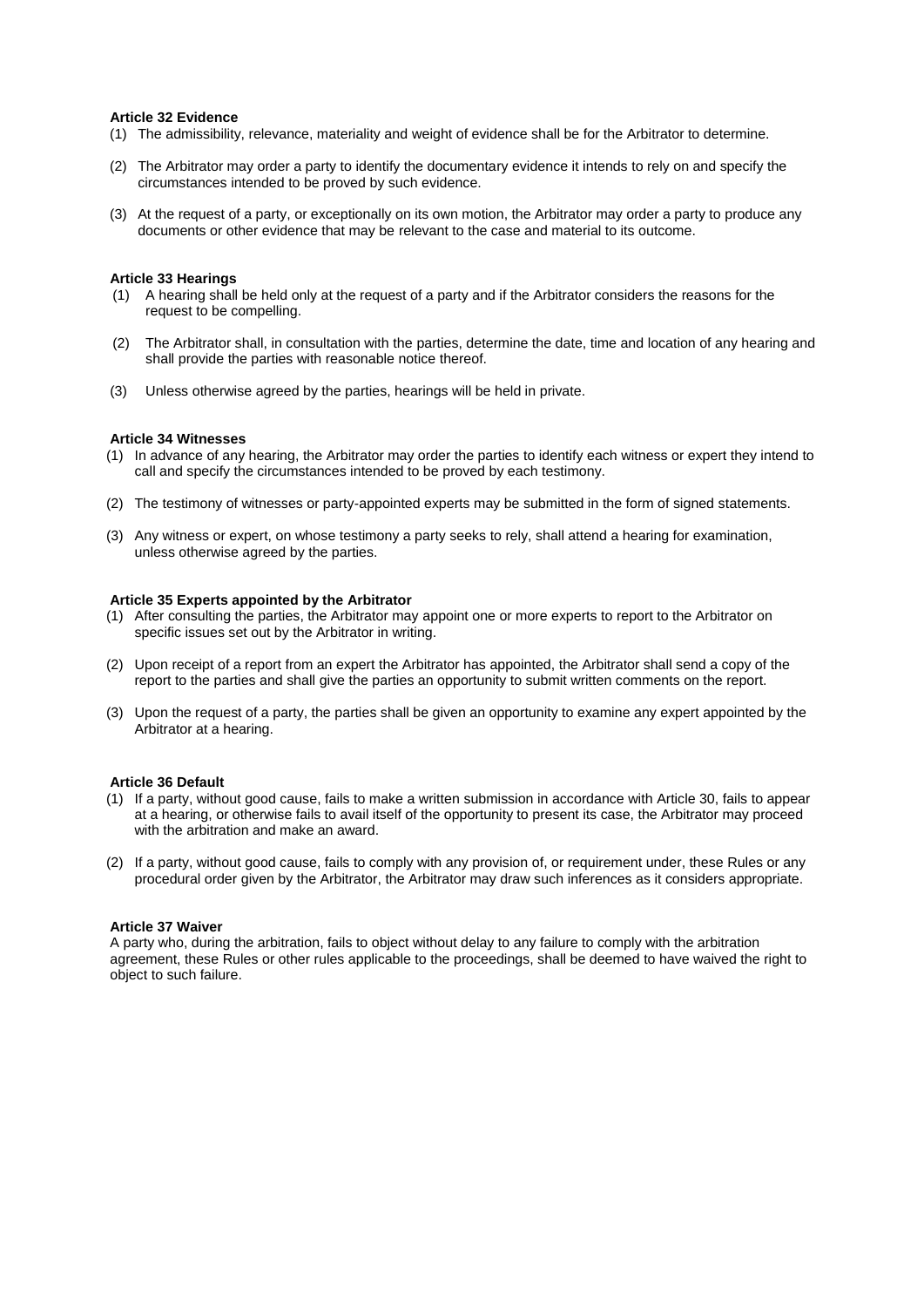### **Article 32 Evidence**

- (1) The admissibility, relevance, materiality and weight of evidence shall be for the Arbitrator to determine.
- (2) The Arbitrator may order a party to identify the documentary evidence it intends to rely on and specify the circumstances intended to be proved by such evidence.
- (3) At the request of a party, or exceptionally on its own motion, the Arbitrator may order a party to produce any documents or other evidence that may be relevant to the case and material to its outcome.

### **Article 33 Hearings**

- (1) A hearing shall be held only at the request of a party and if the Arbitrator considers the reasons for the request to be compelling.
- (2) The Arbitrator shall, in consultation with the parties, determine the date, time and location of any hearing and shall provide the parties with reasonable notice thereof.
- (3) Unless otherwise agreed by the parties, hearings will be held in private.

### **Article 34 Witnesses**

- (1) In advance of any hearing, the Arbitrator may order the parties to identify each witness or expert they intend to call and specify the circumstances intended to be proved by each testimony.
- (2) The testimony of witnesses or party-appointed experts may be submitted in the form of signed statements.
- (3) Any witness or expert, on whose testimony a party seeks to rely, shall attend a hearing for examination, unless otherwise agreed by the parties.

# **Article 35 Experts appointed by the Arbitrator**

- (1) After consulting the parties, the Arbitrator may appoint one or more experts to report to the Arbitrator on specific issues set out by the Arbitrator in writing.
- (2) Upon receipt of a report from an expert the Arbitrator has appointed, the Arbitrator shall send a copy of the report to the parties and shall give the parties an opportunity to submit written comments on the report.
- (3) Upon the request of a party, the parties shall be given an opportunity to examine any expert appointed by the Arbitrator at a hearing.

# **Article 36 Default**

- (1) If a party, without good cause, fails to make a written submission in accordance with Article 30, fails to appear at a hearing, or otherwise fails to avail itself of the opportunity to present its case, the Arbitrator may proceed with the arbitration and make an award.
- (2) If a party, without good cause, fails to comply with any provision of, or requirement under, these Rules or any procedural order given by the Arbitrator, the Arbitrator may draw such inferences as it considers appropriate.

# **Article 37 Waiver**

A party who, during the arbitration, fails to object without delay to any failure to comply with the arbitration agreement, these Rules or other rules applicable to the proceedings, shall be deemed to have waived the right to object to such failure.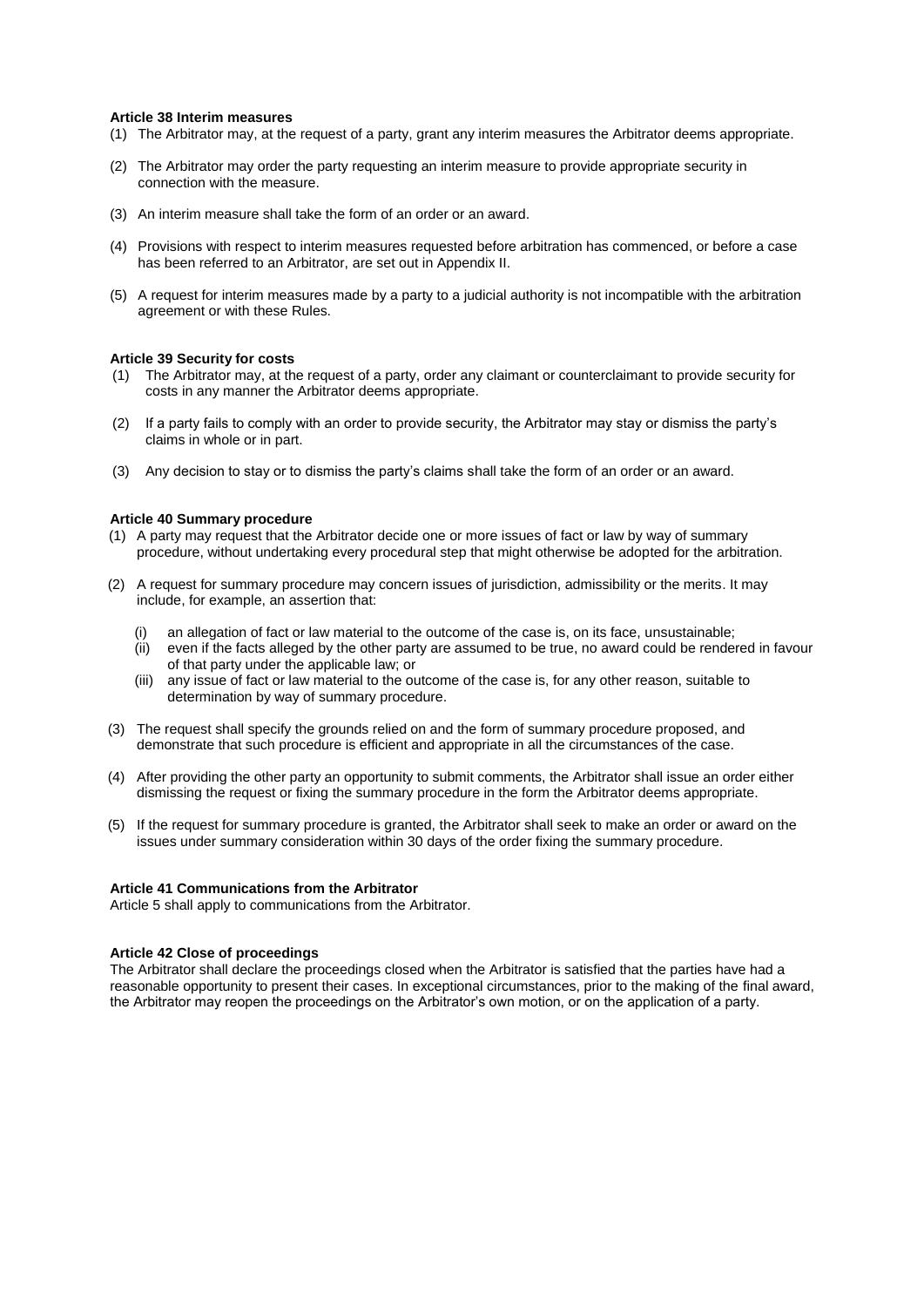#### **Article 38 Interim measures**

- (1) The Arbitrator may, at the request of a party, grant any interim measures the Arbitrator deems appropriate.
- (2) The Arbitrator may order the party requesting an interim measure to provide appropriate security in connection with the measure.
- (3) An interim measure shall take the form of an order or an award.
- (4) Provisions with respect to interim measures requested before arbitration has commenced, or before a case has been referred to an Arbitrator, are set out in Appendix II.
- (5) A request for interim measures made by a party to a judicial authority is not incompatible with the arbitration agreement or with these Rules.

### **Article 39 Security for costs**

- (1) The Arbitrator may, at the request of a party, order any claimant or counterclaimant to provide security for costs in any manner the Arbitrator deems appropriate.
- (2) If a party fails to comply with an order to provide security, the Arbitrator may stay or dismiss the party's claims in whole or in part.
- (3) Any decision to stay or to dismiss the party's claims shall take the form of an order or an award.

### **Article 40 Summary procedure**

- (1) A party may request that the Arbitrator decide one or more issues of fact or law by way of summary procedure, without undertaking every procedural step that might otherwise be adopted for the arbitration.
- (2) A request for summary procedure may concern issues of jurisdiction, admissibility or the merits. It may include, for example, an assertion that:
	- an allegation of fact or law material to the outcome of the case is, on its face, unsustainable;
	- (ii) even if the facts alleged by the other party are assumed to be true, no award could be rendered in favour of that party under the applicable law; or
	- (iii) any issue of fact or law material to the outcome of the case is, for any other reason, suitable to determination by way of summary procedure.
- (3) The request shall specify the grounds relied on and the form of summary procedure proposed, and demonstrate that such procedure is efficient and appropriate in all the circumstances of the case.
- (4) After providing the other party an opportunity to submit comments, the Arbitrator shall issue an order either dismissing the request or fixing the summary procedure in the form the Arbitrator deems appropriate.
- (5) If the request for summary procedure is granted, the Arbitrator shall seek to make an order or award on the issues under summary consideration within 30 days of the order fixing the summary procedure.

#### **Article 41 Communications from the Arbitrator**

Article 5 shall apply to communications from the Arbitrator.

#### **Article 42 Close of proceedings**

The Arbitrator shall declare the proceedings closed when the Arbitrator is satisfied that the parties have had a reasonable opportunity to present their cases. In exceptional circumstances, prior to the making of the final award, the Arbitrator may reopen the proceedings on the Arbitrator's own motion, or on the application of a party.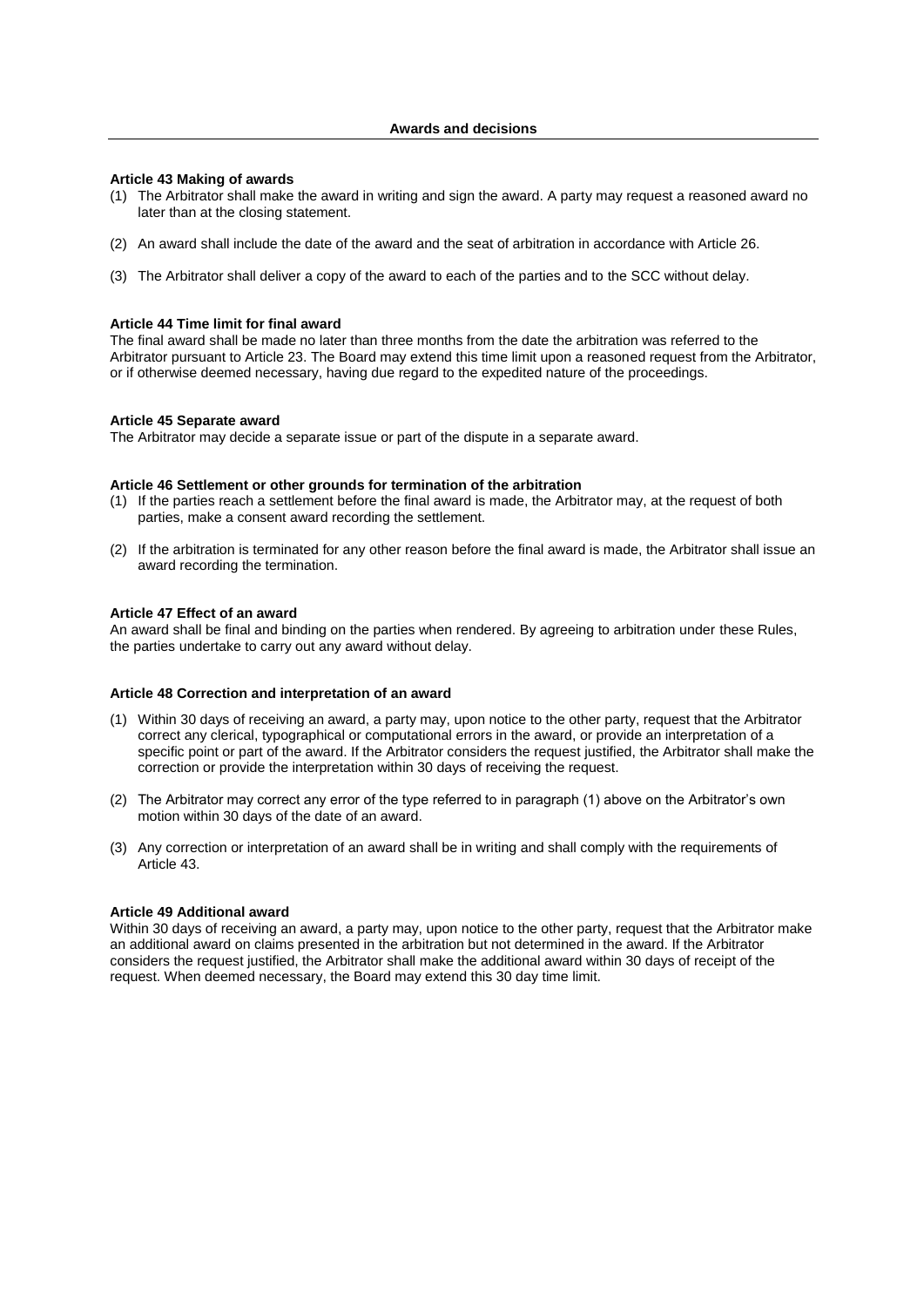# **Article 43 Making of awards**

- (1) The Arbitrator shall make the award in writing and sign the award. A party may request a reasoned award no later than at the closing statement.
- (2) An award shall include the date of the award and the seat of arbitration in accordance with Article 26.
- (3) The Arbitrator shall deliver a copy of the award to each of the parties and to the SCC without delay.

#### **Article 44 Time limit for final award**

The final award shall be made no later than three months from the date the arbitration was referred to the Arbitrator pursuant to Article 23. The Board may extend this time limit upon a reasoned request from the Arbitrator, or if otherwise deemed necessary, having due regard to the expedited nature of the proceedings.

### **Article 45 Separate award**

The Arbitrator may decide a separate issue or part of the dispute in a separate award.

# **Article 46 Settlement or other grounds for termination of the arbitration**

- (1) If the parties reach a settlement before the final award is made, the Arbitrator may, at the request of both parties, make a consent award recording the settlement.
- (2) If the arbitration is terminated for any other reason before the final award is made, the Arbitrator shall issue an award recording the termination.

### **Article 47 Effect of an award**

An award shall be final and binding on the parties when rendered. By agreeing to arbitration under these Rules, the parties undertake to carry out any award without delay.

# **Article 48 Correction and interpretation of an award**

- (1) Within 30 days of receiving an award, a party may, upon notice to the other party, request that the Arbitrator correct any clerical, typographical or computational errors in the award, or provide an interpretation of a specific point or part of the award. If the Arbitrator considers the request justified, the Arbitrator shall make the correction or provide the interpretation within 30 days of receiving the request.
- (2) The Arbitrator may correct any error of the type referred to in paragraph (1) above on the Arbitrator's own motion within 30 days of the date of an award.
- (3) Any correction or interpretation of an award shall be in writing and shall comply with the requirements of Article 43.

# **Article 49 Additional award**

Within 30 days of receiving an award, a party may, upon notice to the other party, request that the Arbitrator make an additional award on claims presented in the arbitration but not determined in the award. If the Arbitrator considers the request justified, the Arbitrator shall make the additional award within 30 days of receipt of the request. When deemed necessary, the Board may extend this 30 day time limit.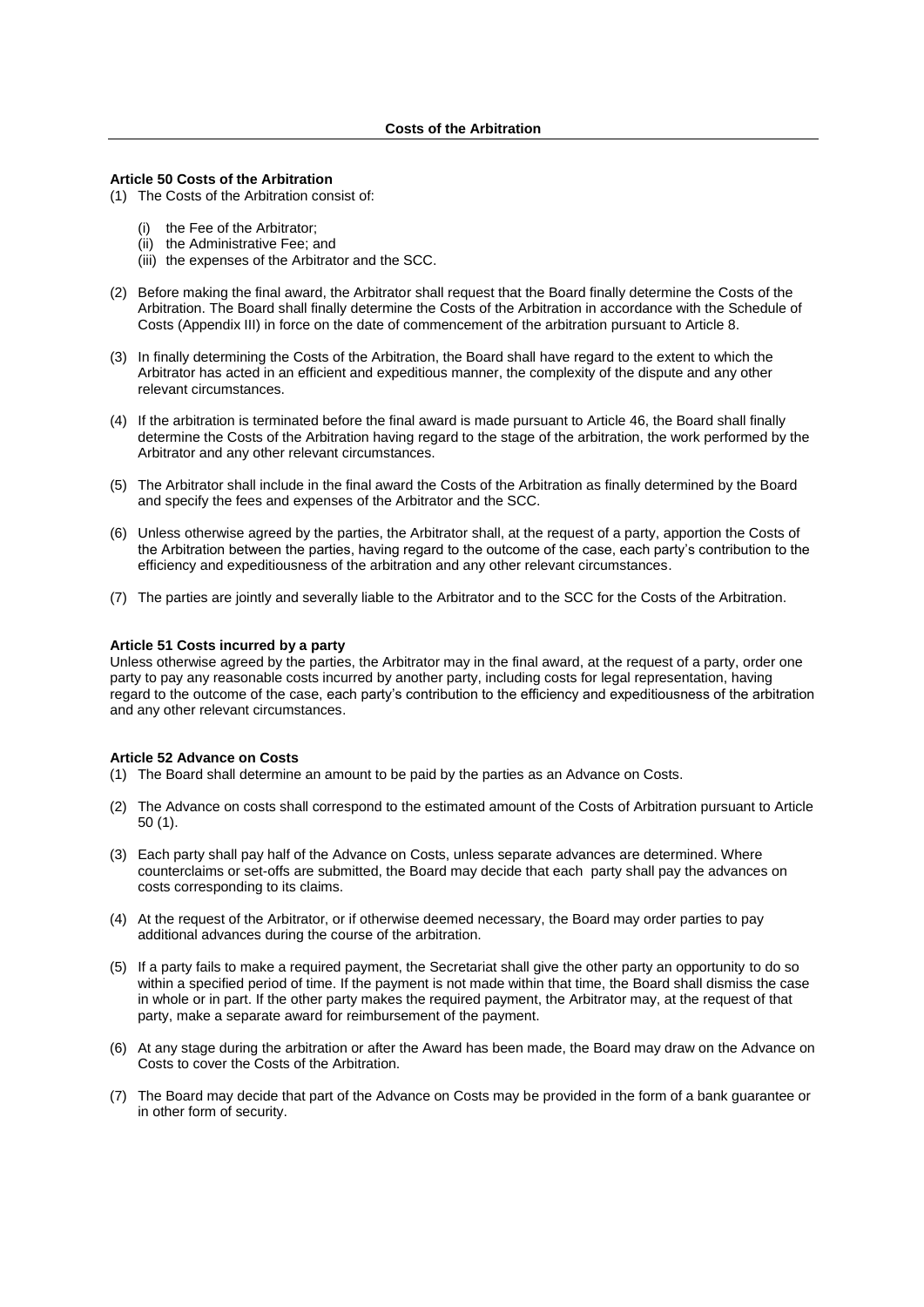# **Article 50 Costs of the Arbitration**

- (1) The Costs of the Arbitration consist of:
	- (i) the Fee of the Arbitrator;
	- (ii) the Administrative Fee; and
	- (iii) the expenses of the Arbitrator and the SCC.
- (2) Before making the final award, the Arbitrator shall request that the Board finally determine the Costs of the Arbitration. The Board shall finally determine the Costs of the Arbitration in accordance with the Schedule of Costs (Appendix III) in force on the date of commencement of the arbitration pursuant to Article 8.
- (3) In finally determining the Costs of the Arbitration, the Board shall have regard to the extent to which the Arbitrator has acted in an efficient and expeditious manner, the complexity of the dispute and any other relevant circumstances.
- (4) If the arbitration is terminated before the final award is made pursuant to Article 46, the Board shall finally determine the Costs of the Arbitration having regard to the stage of the arbitration, the work performed by the Arbitrator and any other relevant circumstances.
- (5) The Arbitrator shall include in the final award the Costs of the Arbitration as finally determined by the Board and specify the fees and expenses of the Arbitrator and the SCC.
- (6) Unless otherwise agreed by the parties, the Arbitrator shall, at the request of a party, apportion the Costs of the Arbitration between the parties, having regard to the outcome of the case, each party's contribution to the efficiency and expeditiousness of the arbitration and any other relevant circumstances.
- (7) The parties are jointly and severally liable to the Arbitrator and to the SCC for the Costs of the Arbitration.

### **Article 51 Costs incurred by a party**

Unless otherwise agreed by the parties, the Arbitrator may in the final award, at the request of a party, order one party to pay any reasonable costs incurred by another party, including costs for legal representation, having regard to the outcome of the case, each party's contribution to the efficiency and expeditiousness of the arbitration and any other relevant circumstances.

#### **Article 52 Advance on Costs**

- (1) The Board shall determine an amount to be paid by the parties as an Advance on Costs.
- (2) The Advance on costs shall correspond to the estimated amount of the Costs of Arbitration pursuant to Article 50 (1).
- (3) Each party shall pay half of the Advance on Costs, unless separate advances are determined. Where counterclaims or set-offs are submitted, the Board may decide that each party shall pay the advances on costs corresponding to its claims.
- (4) At the request of the Arbitrator, or if otherwise deemed necessary, the Board may order parties to pay additional advances during the course of the arbitration.
- (5) If a party fails to make a required payment, the Secretariat shall give the other party an opportunity to do so within a specified period of time. If the payment is not made within that time, the Board shall dismiss the case in whole or in part. If the other party makes the required payment, the Arbitrator may, at the request of that party, make a separate award for reimbursement of the payment.
- (6) At any stage during the arbitration or after the Award has been made, the Board may draw on the Advance on Costs to cover the Costs of the Arbitration.
- (7) The Board may decide that part of the Advance on Costs may be provided in the form of a bank guarantee or in other form of security.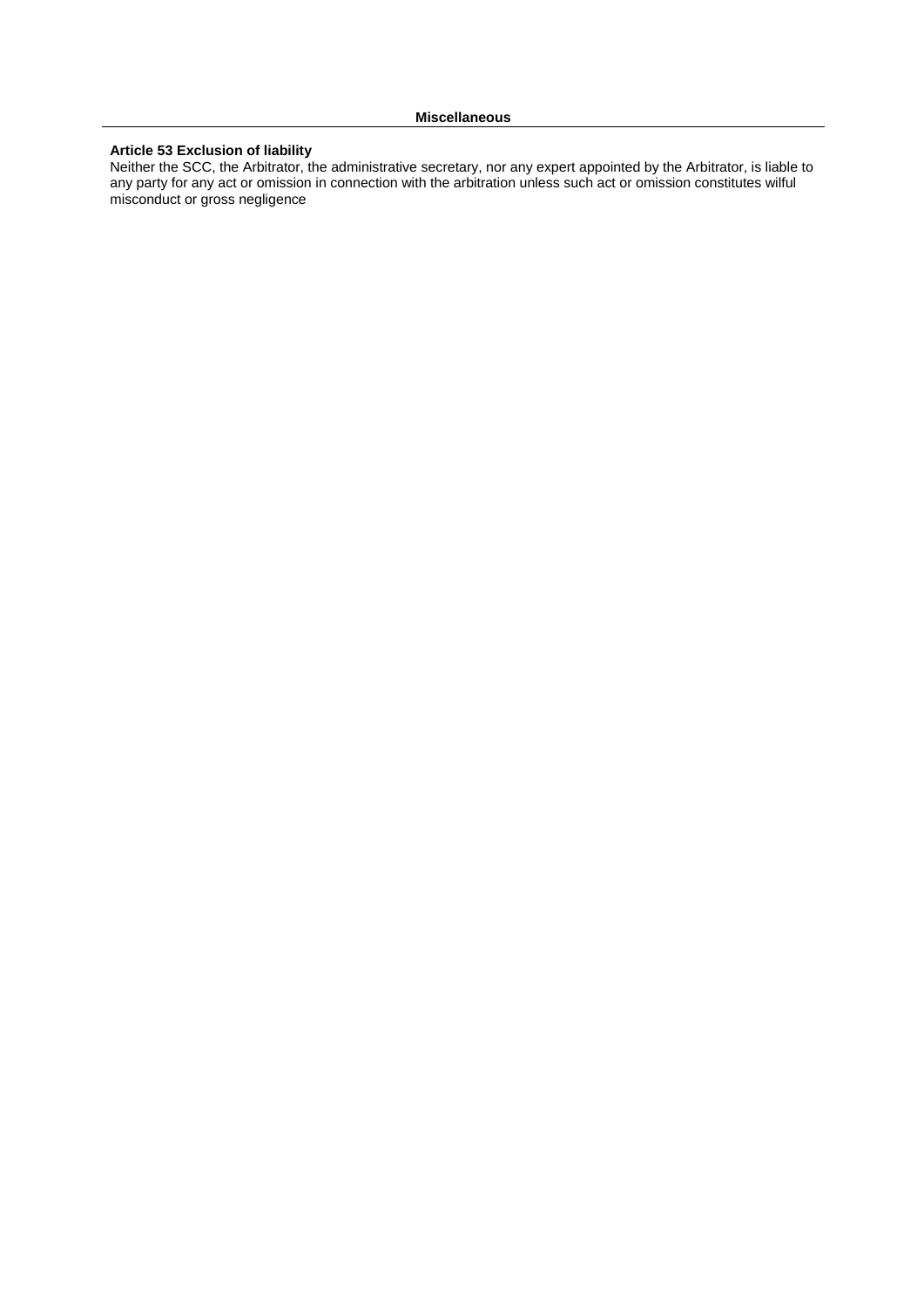#### **Article 53 Exclusion of liability**

Neither the SCC, the Arbitrator, the administrative secretary, nor any expert appointed by the Arbitrator, is liable to any party for any act or omission in connection with the arbitration unless such act or omission constitutes wilful misconduct or gross negligence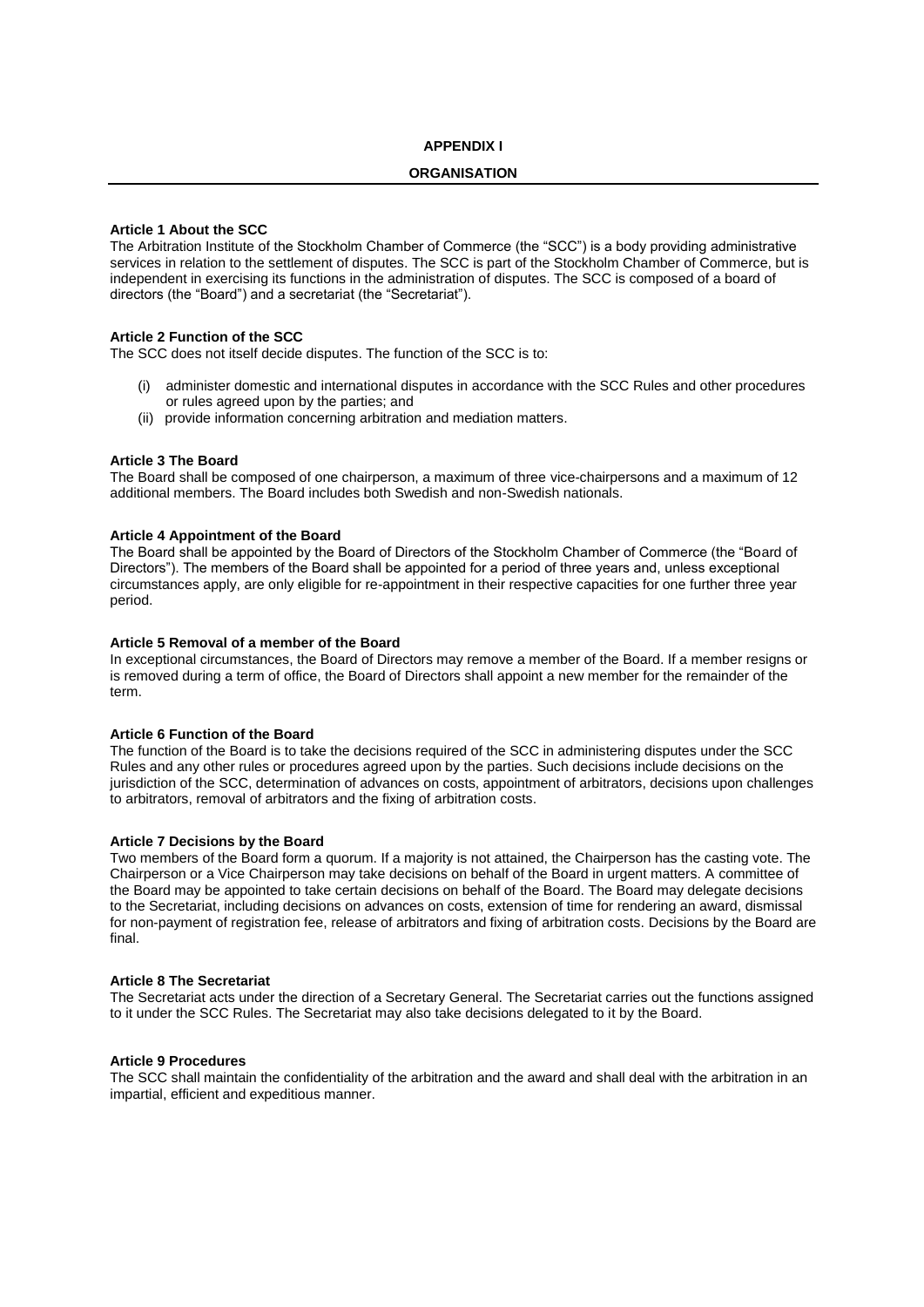# **APPENDIX I**

### **ORGANISATION**

# **Article 1 About the SCC**

The Arbitration Institute of the Stockholm Chamber of Commerce (the "SCC") is a body providing administrative services in relation to the settlement of disputes. The SCC is part of the Stockholm Chamber of Commerce, but is independent in exercising its functions in the administration of disputes. The SCC is composed of a board of directors (the "Board") and a secretariat (the "Secretariat").

# **Article 2 Function of the SCC**

The SCC does not itself decide disputes. The function of the SCC is to:

- (i) administer domestic and international disputes in accordance with the SCC Rules and other procedures or rules agreed upon by the parties; and
- (ii) provide information concerning arbitration and mediation matters.

#### **Article 3 The Board**

The Board shall be composed of one chairperson, a maximum of three vice-chairpersons and a maximum of 12 additional members. The Board includes both Swedish and non-Swedish nationals.

# **Article 4 Appointment of the Board**

The Board shall be appointed by the Board of Directors of the Stockholm Chamber of Commerce (the "Board of Directors"). The members of the Board shall be appointed for a period of three years and, unless exceptional circumstances apply, are only eligible for re-appointment in their respective capacities for one further three year period.

# **Article 5 Removal of a member of the Board**

In exceptional circumstances, the Board of Directors may remove a member of the Board. If a member resigns or is removed during a term of office, the Board of Directors shall appoint a new member for the remainder of the term.

### **Article 6 Function of the Board**

The function of the Board is to take the decisions required of the SCC in administering disputes under the SCC Rules and any other rules or procedures agreed upon by the parties. Such decisions include decisions on the jurisdiction of the SCC, determination of advances on costs, appointment of arbitrators, decisions upon challenges to arbitrators, removal of arbitrators and the fixing of arbitration costs.

# **Article 7 Decisions by the Board**

Two members of the Board form a quorum. If a majority is not attained, the Chairperson has the casting vote. The Chairperson or a Vice Chairperson may take decisions on behalf of the Board in urgent matters. A committee of the Board may be appointed to take certain decisions on behalf of the Board. The Board may delegate decisions to the Secretariat, including decisions on advances on costs, extension of time for rendering an award, dismissal for non-payment of registration fee, release of arbitrators and fixing of arbitration costs. Decisions by the Board are final.

# **Article 8 The Secretariat**

The Secretariat acts under the direction of a Secretary General. The Secretariat carries out the functions assigned to it under the SCC Rules. The Secretariat may also take decisions delegated to it by the Board.

# **Article 9 Procedures**

The SCC shall maintain the confidentiality of the arbitration and the award and shall deal with the arbitration in an impartial, efficient and expeditious manner.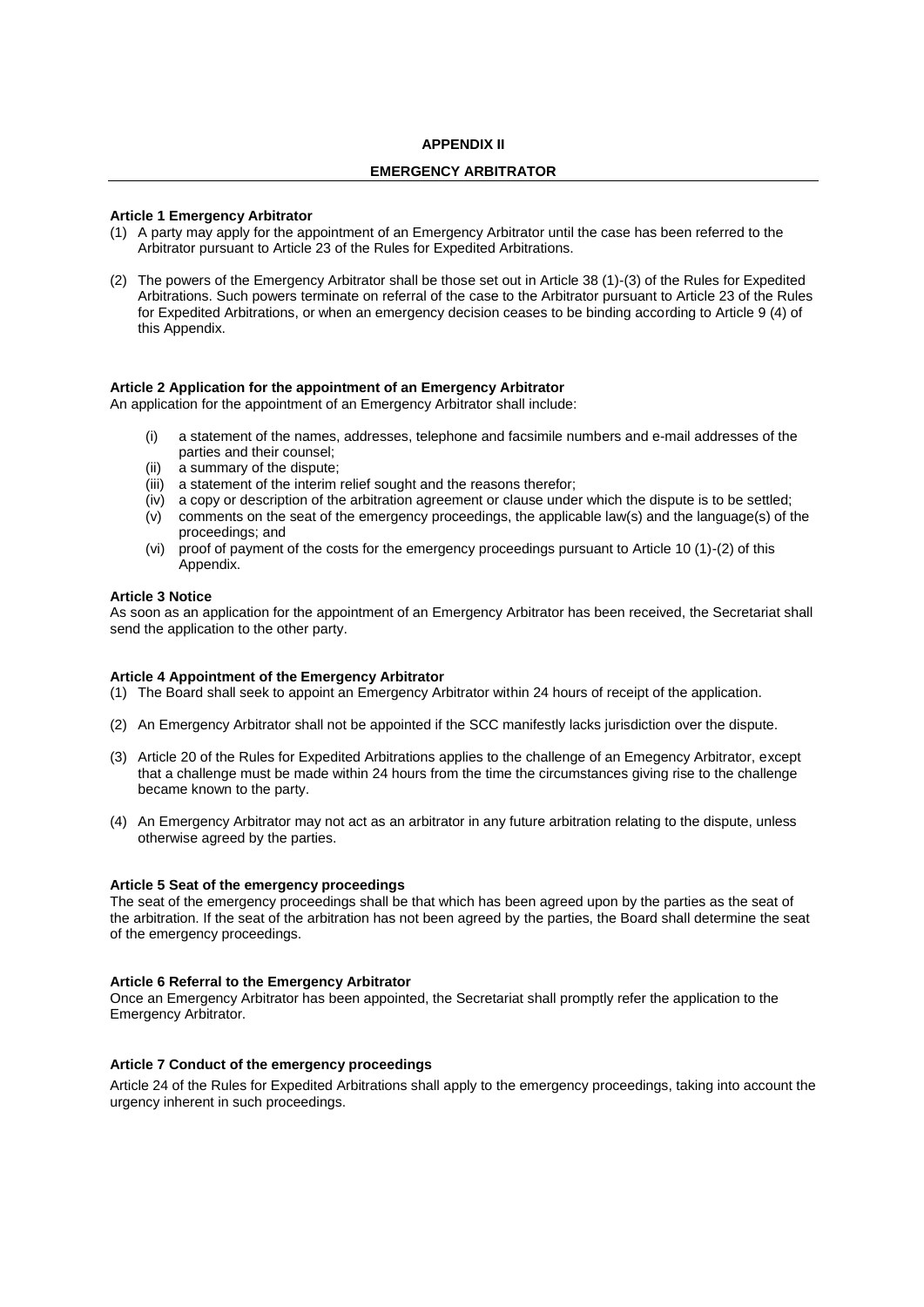# **APPENDIX II**

# **EMERGENCY ARBITRATOR**

# **Article 1 Emergency Arbitrator**

- (1) A party may apply for the appointment of an Emergency Arbitrator until the case has been referred to the Arbitrator pursuant to Article 23 of the Rules for Expedited Arbitrations.
- (2) The powers of the Emergency Arbitrator shall be those set out in Article 38 (1)-(3) of the Rules for Expedited Arbitrations. Such powers terminate on referral of the case to the Arbitrator pursuant to Article 23 of the Rules for Expedited Arbitrations, or when an emergency decision ceases to be binding according to Article 9 (4) of this Appendix.

# **Article 2 Application for the appointment of an Emergency Arbitrator**

An application for the appointment of an Emergency Arbitrator shall include:

- (i) a statement of the names, addresses, telephone and facsimile numbers and e-mail addresses of the parties and their counsel;
- (ii) a summary of the dispute;
- (iii) a statement of the interim relief sought and the reasons therefor;
- (iv) a copy or description of the arbitration agreement or clause under which the dispute is to be settled;
- (v) comments on the seat of the emergency proceedings, the applicable law(s) and the language(s) of the proceedings; and
- (vi) proof of payment of the costs for the emergency proceedings pursuant to Article 10 (1)-(2) of this Appendix.

### **Article 3 Notice**

As soon as an application for the appointment of an Emergency Arbitrator has been received, the Secretariat shall send the application to the other party.

# **Article 4 Appointment of the Emergency Arbitrator**

(1) The Board shall seek to appoint an Emergency Arbitrator within 24 hours of receipt of the application.

- (2) An Emergency Arbitrator shall not be appointed if the SCC manifestly lacks jurisdiction over the dispute.
- (3) Article 20 of the Rules for Expedited Arbitrations applies to the challenge of an Emegency Arbitrator, except that a challenge must be made within 24 hours from the time the circumstances giving rise to the challenge became known to the party.
- (4) An Emergency Arbitrator may not act as an arbitrator in any future arbitration relating to the dispute, unless otherwise agreed by the parties.

# **Article 5 Seat of the emergency proceedings**

The seat of the emergency proceedings shall be that which has been agreed upon by the parties as the seat of the arbitration. If the seat of the arbitration has not been agreed by the parties, the Board shall determine the seat of the emergency proceedings.

#### **Article 6 Referral to the Emergency Arbitrator**

Once an Emergency Arbitrator has been appointed, the Secretariat shall promptly refer the application to the Emergency Arbitrator.

# **Article 7 Conduct of the emergency proceedings**

Article 24 of the Rules for Expedited Arbitrations shall apply to the emergency proceedings, taking into account the urgency inherent in such proceedings.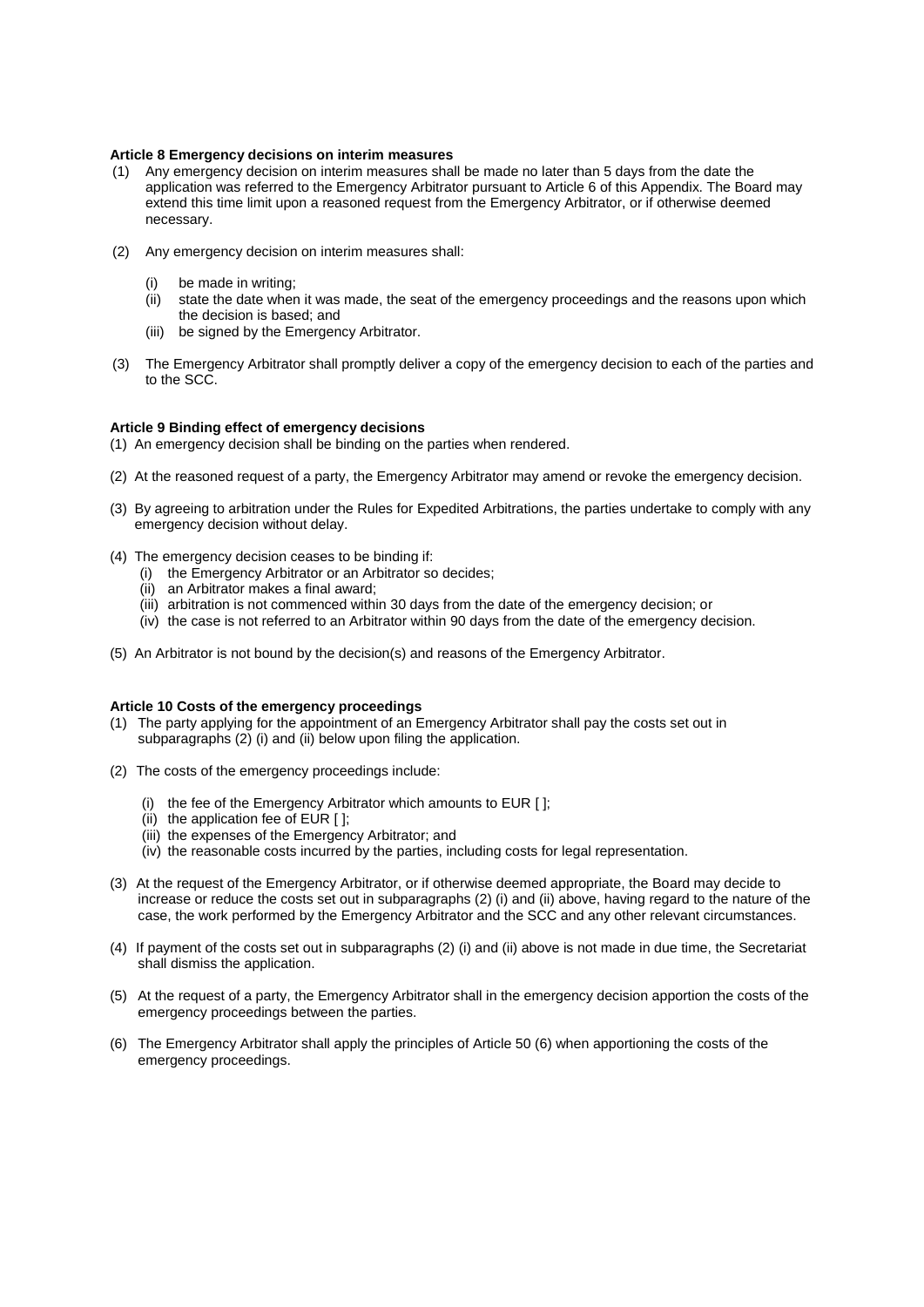# **Article 8 Emergency decisions on interim measures**

- (1) Any emergency decision on interim measures shall be made no later than 5 days from the date the application was referred to the Emergency Arbitrator pursuant to Article 6 of this Appendix. The Board may extend this time limit upon a reasoned request from the Emergency Arbitrator, or if otherwise deemed necessary.
- (2) Any emergency decision on interim measures shall:
	- (i) be made in writing;
	- (ii) state the date when it was made, the seat of the emergency proceedings and the reasons upon which the decision is based; and
	- (iii) be signed by the Emergency Arbitrator.
- (3) The Emergency Arbitrator shall promptly deliver a copy of the emergency decision to each of the parties and to the SCC.

### **Article 9 Binding effect of emergency decisions**

- (1) An emergency decision shall be binding on the parties when rendered.
- (2) At the reasoned request of a party, the Emergency Arbitrator may amend or revoke the emergency decision.
- (3) By agreeing to arbitration under the Rules for Expedited Arbitrations, the parties undertake to comply with any emergency decision without delay.
- (4) The emergency decision ceases to be binding if:
	- (i) the Emergency Arbitrator or an Arbitrator so decides;
	- (ii) an Arbitrator makes a final award;
	- (iii) arbitration is not commenced within 30 days from the date of the emergency decision; or
	- (iv) the case is not referred to an Arbitrator within 90 days from the date of the emergency decision.
- (5) An Arbitrator is not bound by the decision(s) and reasons of the Emergency Arbitrator.

# **Article 10 Costs of the emergency proceedings**

- (1) The party applying for the appointment of an Emergency Arbitrator shall pay the costs set out in subparagraphs (2) (i) and (ii) below upon filing the application.
- (2) The costs of the emergency proceedings include:
	- (i) the fee of the Emergency Arbitrator which amounts to EUR [ ];
	- (ii) the application fee of EUR  $[$ ];
	- (iii) the expenses of the Emergency Arbitrator; and
	- (iv) the reasonable costs incurred by the parties, including costs for legal representation.
- (3) At the request of the Emergency Arbitrator, or if otherwise deemed appropriate, the Board may decide to increase or reduce the costs set out in subparagraphs (2) (i) and (ii) above, having regard to the nature of the case, the work performed by the Emergency Arbitrator and the SCC and any other relevant circumstances.
- (4) If payment of the costs set out in subparagraphs (2) (i) and (ii) above is not made in due time, the Secretariat shall dismiss the application.
- (5) At the request of a party, the Emergency Arbitrator shall in the emergency decision apportion the costs of the emergency proceedings between the parties.
- (6) The Emergency Arbitrator shall apply the principles of Article 50 (6) when apportioning the costs of the emergency proceedings.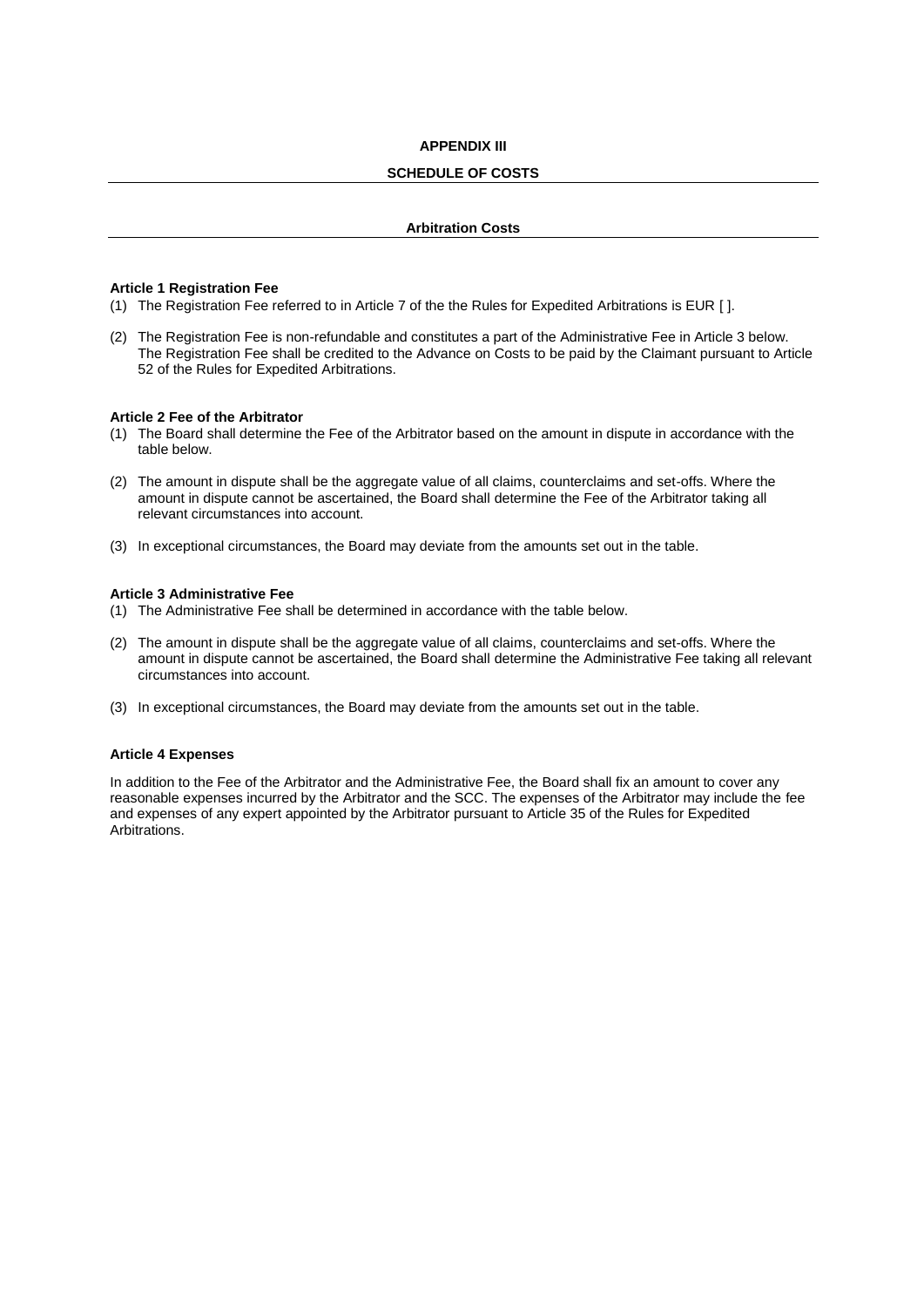# **APPENDIX III**

# **SCHEDULE OF COSTS**

# **Arbitration Costs**

### **Article 1 Registration Fee**

(1) The Registration Fee referred to in Article 7 of the the Rules for Expedited Arbitrations is EUR [ ].

(2) The Registration Fee is non-refundable and constitutes a part of the Administrative Fee in Article 3 below. The Registration Fee shall be credited to the Advance on Costs to be paid by the Claimant pursuant to Article 52 of the Rules for Expedited Arbitrations.

#### **Article 2 Fee of the Arbitrator**

- (1) The Board shall determine the Fee of the Arbitrator based on the amount in dispute in accordance with the table below.
- (2) The amount in dispute shall be the aggregate value of all claims, counterclaims and set-offs. Where the amount in dispute cannot be ascertained, the Board shall determine the Fee of the Arbitrator taking all relevant circumstances into account.
- (3) In exceptional circumstances, the Board may deviate from the amounts set out in the table.

#### **Article 3 Administrative Fee**

- (1) The Administrative Fee shall be determined in accordance with the table below.
- (2) The amount in dispute shall be the aggregate value of all claims, counterclaims and set-offs. Where the amount in dispute cannot be ascertained, the Board shall determine the Administrative Fee taking all relevant circumstances into account.
- (3) In exceptional circumstances, the Board may deviate from the amounts set out in the table.

# **Article 4 Expenses**

In addition to the Fee of the Arbitrator and the Administrative Fee, the Board shall fix an amount to cover any reasonable expenses incurred by the Arbitrator and the SCC. The expenses of the Arbitrator may include the fee and expenses of any expert appointed by the Arbitrator pursuant to Article 35 of the Rules for Expedited Arbitrations.